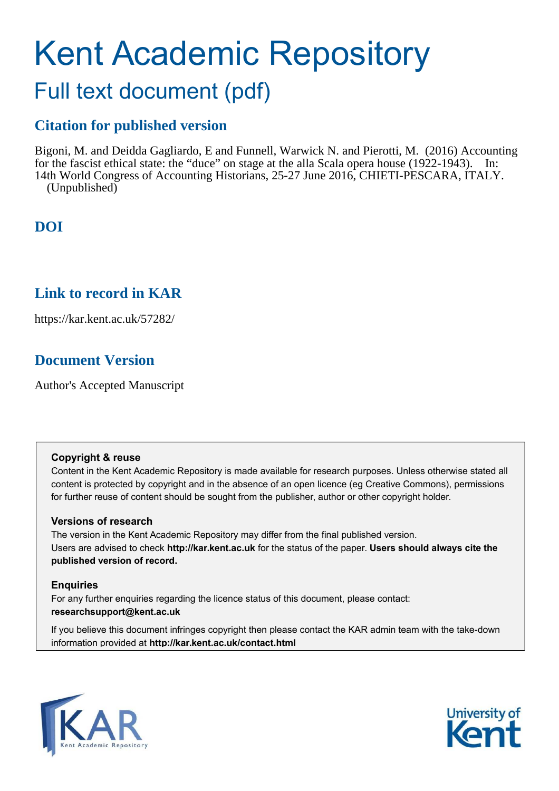# Kent Academic Repository

# Full text document (pdf)

# **Citation for published version**

Bigoni, M. and Deidda Gagliardo, E and Funnell, Warwick N. and Pierotti, M. (2016) Accounting for the fascist ethical state: the "duce" on stage at the alla Scala opera house (1922-1943). In: 14th World Congress of Accounting Historians, 25-27 June 2016, CHIETI-PESCARA, ITALY. (Unpublished)

# **DOI**

# **Link to record in KAR**

https://kar.kent.ac.uk/57282/

# **Document Version**

Author's Accepted Manuscript

# **Copyright & reuse**

Content in the Kent Academic Repository is made available for research purposes. Unless otherwise stated all content is protected by copyright and in the absence of an open licence (eg Creative Commons), permissions for further reuse of content should be sought from the publisher, author or other copyright holder.

# **Versions of research**

The version in the Kent Academic Repository may differ from the final published version. Users are advised to check **http://kar.kent.ac.uk** for the status of the paper. **Users should always cite the published version of record.**

# **Enquiries**

For any further enquiries regarding the licence status of this document, please contact: **researchsupport@kent.ac.uk**

If you believe this document infringes copyright then please contact the KAR admin team with the take-down information provided at **http://kar.kent.ac.uk/contact.html**



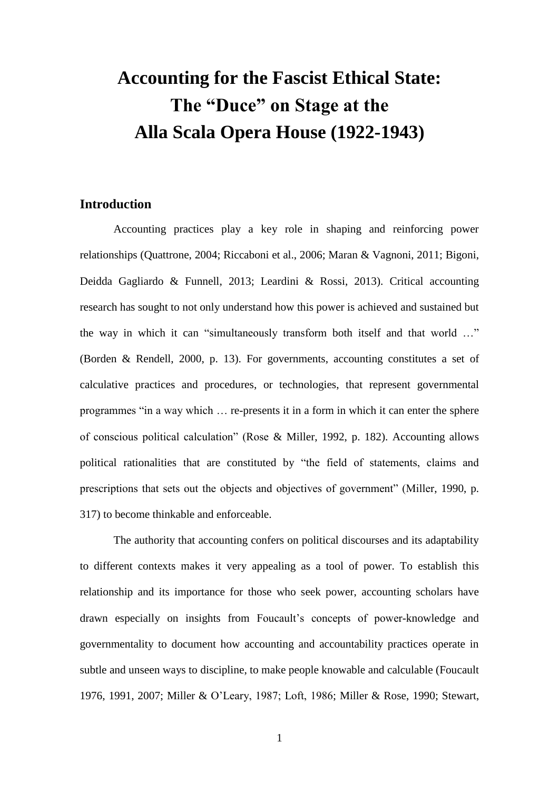# **Accounting for the Fascist Ethical State: The "Duce" on Stage at the Alla Scala Opera House (1922-1943)**

# **Introduction**

Accounting practices play a key role in shaping and reinforcing power relationships (Quattrone, 2004; Riccaboni et al., 2006; Maran & Vagnoni, 2011; Bigoni, Deidda Gagliardo & Funnell, 2013; Leardini & Rossi, 2013). Critical accounting research has sought to not only understand how this power is achieved and sustained but the way in which it can "simultaneously transform both itself and that world …" (Borden & Rendell, 2000, p. 13). For governments, accounting constitutes a set of calculative practices and procedures, or technologies, that represent governmental programmes "in a way which … re-presents it in a form in which it can enter the sphere of conscious political calculation" (Rose & Miller, 1992, p. 182). Accounting allows political rationalities that are constituted by "the field of statements, claims and prescriptions that sets out the objects and objectives of government" (Miller, 1990, p. 317) to become thinkable and enforceable.

The authority that accounting confers on political discourses and its adaptability to different contexts makes it very appealing as a tool of power. To establish this relationship and its importance for those who seek power, accounting scholars have drawn especially on insights from Foucault's concepts of power-knowledge and governmentality to document how accounting and accountability practices operate in subtle and unseen ways to discipline, to make people knowable and calculable (Foucault 1976, 1991, 2007; Miller & O'Leary, 1987; Loft, 1986; Miller & Rose, 1990; Stewart,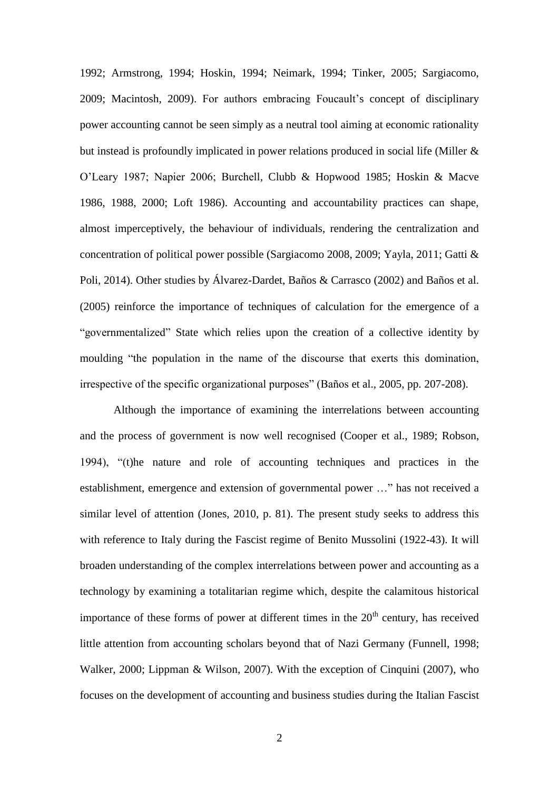1992; Armstrong, 1994; Hoskin, 1994; Neimark, 1994; Tinker, 2005; Sargiacomo, 2009; Macintosh, 2009). For authors embracing Foucault's concept of disciplinary power accounting cannot be seen simply as a neutral tool aiming at economic rationality but instead is profoundly implicated in power relations produced in social life (Miller & O'Leary 1987; Napier 2006; Burchell, Clubb & Hopwood 1985; Hoskin & Macve 1986, 1988, 2000; Loft 1986). Accounting and accountability practices can shape, almost imperceptively, the behaviour of individuals, rendering the centralization and concentration of political power possible (Sargiacomo 2008, 2009; Yayla, 2011; Gatti & Poli, 2014). Other studies by Álvarez-Dardet, Baños & Carrasco (2002) and Baños et al. (2005) reinforce the importance of techniques of calculation for the emergence of a "governmentalized" State which relies upon the creation of a collective identity by moulding "the population in the name of the discourse that exerts this domination, irrespective of the specific organizational purposes" (Baños et al., 2005, pp. 207-208).

Although the importance of examining the interrelations between accounting and the process of government is now well recognised (Cooper et al., 1989; Robson, 1994), "(t)he nature and role of accounting techniques and practices in the establishment, emergence and extension of governmental power …" has not received a similar level of attention (Jones, 2010, p. 81). The present study seeks to address this with reference to Italy during the Fascist regime of Benito Mussolini (1922-43). It will broaden understanding of the complex interrelations between power and accounting as a technology by examining a totalitarian regime which, despite the calamitous historical importance of these forms of power at different times in the  $20<sup>th</sup>$  century, has received little attention from accounting scholars beyond that of Nazi Germany (Funnell, 1998; Walker, 2000; Lippman & Wilson, 2007). With the exception of Cinquini (2007), who focuses on the development of accounting and business studies during the Italian Fascist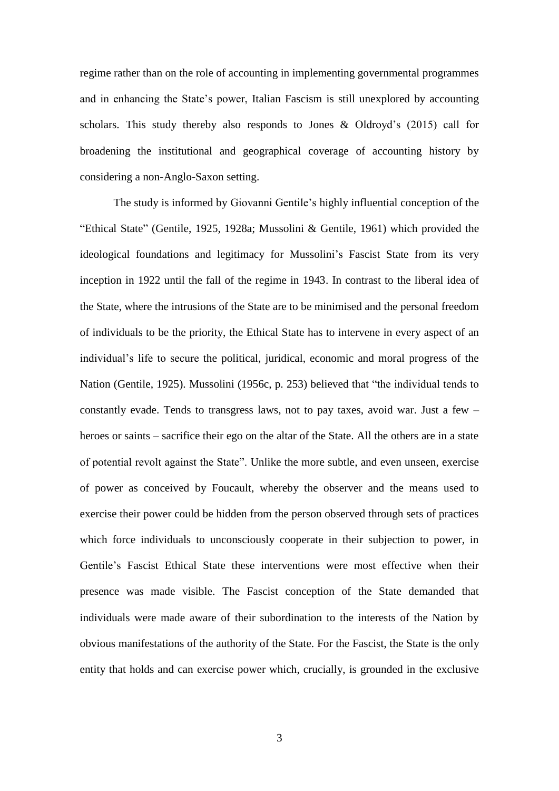regime rather than on the role of accounting in implementing governmental programmes and in enhancing the State's power, Italian Fascism is still unexplored by accounting scholars. This study thereby also responds to Jones  $\&$  Oldroyd's (2015) call for broadening the institutional and geographical coverage of accounting history by considering a non-Anglo-Saxon setting.

The study is informed by Giovanni Gentile's highly influential conception of the "Ethical State" (Gentile, 1925, 1928a; Mussolini & Gentile, 1961) which provided the ideological foundations and legitimacy for Mussolini's Fascist State from its very inception in 1922 until the fall of the regime in 1943. In contrast to the liberal idea of the State, where the intrusions of the State are to be minimised and the personal freedom of individuals to be the priority, the Ethical State has to intervene in every aspect of an individual's life to secure the political, juridical, economic and moral progress of the Nation (Gentile, 1925). Mussolini (1956c, p. 253) believed that "the individual tends to constantly evade. Tends to transgress laws, not to pay taxes, avoid war. Just a few – heroes or saints – sacrifice their ego on the altar of the State. All the others are in a state of potential revolt against the State". Unlike the more subtle, and even unseen, exercise of power as conceived by Foucault, whereby the observer and the means used to exercise their power could be hidden from the person observed through sets of practices which force individuals to unconsciously cooperate in their subjection to power, in Gentile's Fascist Ethical State these interventions were most effective when their presence was made visible. The Fascist conception of the State demanded that individuals were made aware of their subordination to the interests of the Nation by obvious manifestations of the authority of the State. For the Fascist, the State is the only entity that holds and can exercise power which, crucially, is grounded in the exclusive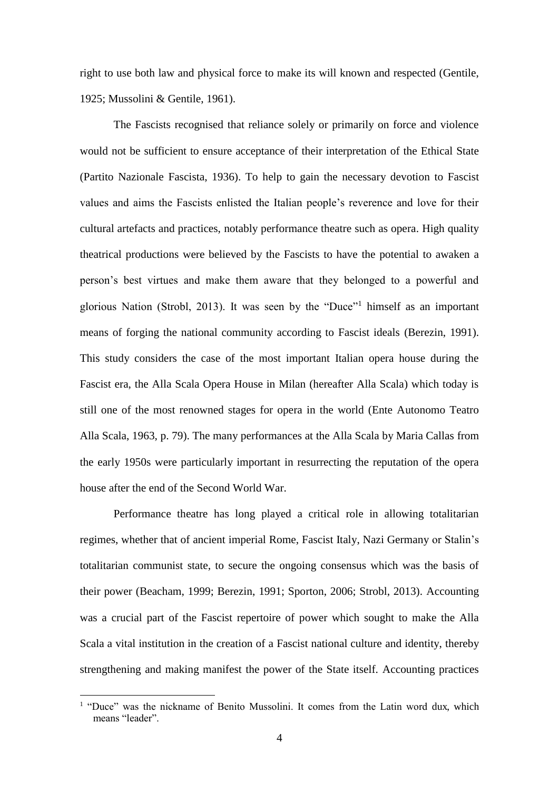right to use both law and physical force to make its will known and respected (Gentile, 1925; Mussolini & Gentile, 1961).

The Fascists recognised that reliance solely or primarily on force and violence would not be sufficient to ensure acceptance of their interpretation of the Ethical State (Partito Nazionale Fascista, 1936). To help to gain the necessary devotion to Fascist values and aims the Fascists enlisted the Italian people's reverence and love for their cultural artefacts and practices, notably performance theatre such as opera. High quality theatrical productions were believed by the Fascists to have the potential to awaken a person's best virtues and make them aware that they belonged to a powerful and glorious Nation (Strobl, 2013). It was seen by the "Duce"<sup>1</sup> himself as an important means of forging the national community according to Fascist ideals (Berezin, 1991). This study considers the case of the most important Italian opera house during the Fascist era, the Alla Scala Opera House in Milan (hereafter Alla Scala) which today is still one of the most renowned stages for opera in the world (Ente Autonomo Teatro Alla Scala, 1963, p. 79). The many performances at the Alla Scala by Maria Callas from the early 1950s were particularly important in resurrecting the reputation of the opera house after the end of the Second World War.

Performance theatre has long played a critical role in allowing totalitarian regimes, whether that of ancient imperial Rome, Fascist Italy, Nazi Germany or Stalin's totalitarian communist state, to secure the ongoing consensus which was the basis of their power (Beacham, 1999; Berezin, 1991; Sporton, 2006; Strobl, 2013). Accounting was a crucial part of the Fascist repertoire of power which sought to make the Alla Scala a vital institution in the creation of a Fascist national culture and identity, thereby strengthening and making manifest the power of the State itself. Accounting practices

<u>.</u>

<sup>&</sup>lt;sup>1</sup> "Duce" was the nickname of Benito Mussolini. It comes from the Latin word dux, which means "leader".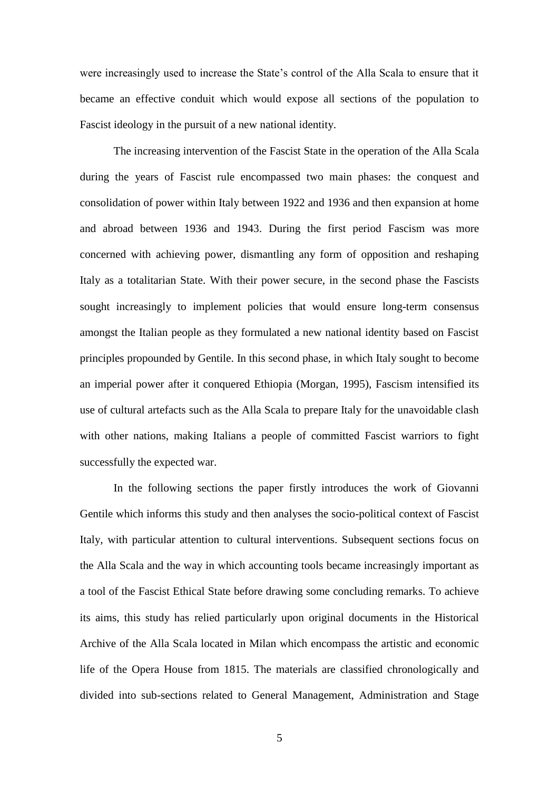were increasingly used to increase the State's control of the Alla Scala to ensure that it became an effective conduit which would expose all sections of the population to Fascist ideology in the pursuit of a new national identity.

The increasing intervention of the Fascist State in the operation of the Alla Scala during the years of Fascist rule encompassed two main phases: the conquest and consolidation of power within Italy between 1922 and 1936 and then expansion at home and abroad between 1936 and 1943. During the first period Fascism was more concerned with achieving power, dismantling any form of opposition and reshaping Italy as a totalitarian State. With their power secure, in the second phase the Fascists sought increasingly to implement policies that would ensure long-term consensus amongst the Italian people as they formulated a new national identity based on Fascist principles propounded by Gentile. In this second phase, in which Italy sought to become an imperial power after it conquered Ethiopia (Morgan, 1995), Fascism intensified its use of cultural artefacts such as the Alla Scala to prepare Italy for the unavoidable clash with other nations, making Italians a people of committed Fascist warriors to fight successfully the expected war.

In the following sections the paper firstly introduces the work of Giovanni Gentile which informs this study and then analyses the socio-political context of Fascist Italy, with particular attention to cultural interventions. Subsequent sections focus on the Alla Scala and the way in which accounting tools became increasingly important as a tool of the Fascist Ethical State before drawing some concluding remarks. To achieve its aims, this study has relied particularly upon original documents in the Historical Archive of the Alla Scala located in Milan which encompass the artistic and economic life of the Opera House from 1815. The materials are classified chronologically and divided into sub-sections related to General Management, Administration and Stage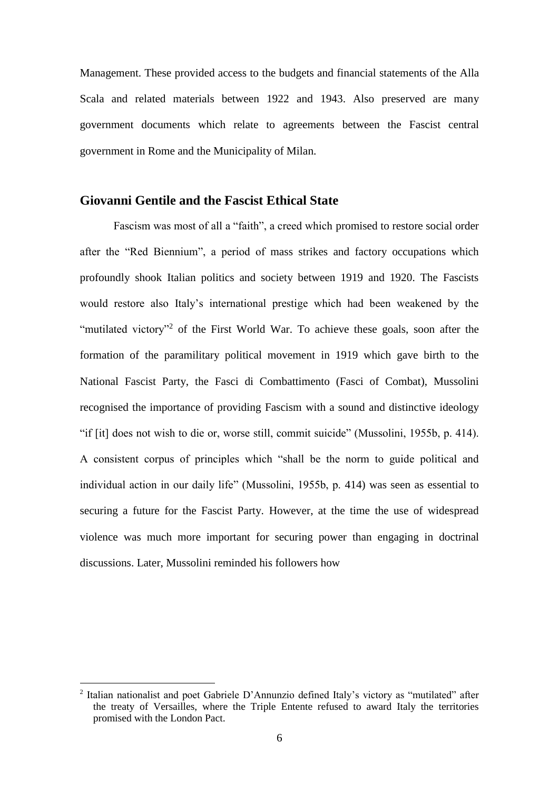Management. These provided access to the budgets and financial statements of the Alla Scala and related materials between 1922 and 1943. Also preserved are many government documents which relate to agreements between the Fascist central government in Rome and the Municipality of Milan.

## **Giovanni Gentile and the Fascist Ethical State**

Fascism was most of all a "faith", a creed which promised to restore social order after the "Red Biennium", a period of mass strikes and factory occupations which profoundly shook Italian politics and society between 1919 and 1920. The Fascists would restore also Italy's international prestige which had been weakened by the "mutilated victory"<sup>2</sup> of the First World War. To achieve these goals, soon after the formation of the paramilitary political movement in 1919 which gave birth to the National Fascist Party, the Fasci di Combattimento (Fasci of Combat), Mussolini recognised the importance of providing Fascism with a sound and distinctive ideology "if [it] does not wish to die or, worse still, commit suicide" (Mussolini, 1955b, p. 414). A consistent corpus of principles which "shall be the norm to guide political and individual action in our daily life" (Mussolini, 1955b, p. 414) was seen as essential to securing a future for the Fascist Party. However, at the time the use of widespread violence was much more important for securing power than engaging in doctrinal discussions. Later, Mussolini reminded his followers how

-

<sup>&</sup>lt;sup>2</sup> Italian nationalist and poet Gabriele D'Annunzio defined Italy's victory as "mutilated" after the treaty of Versailles, where the Triple Entente refused to award Italy the territories promised with the London Pact.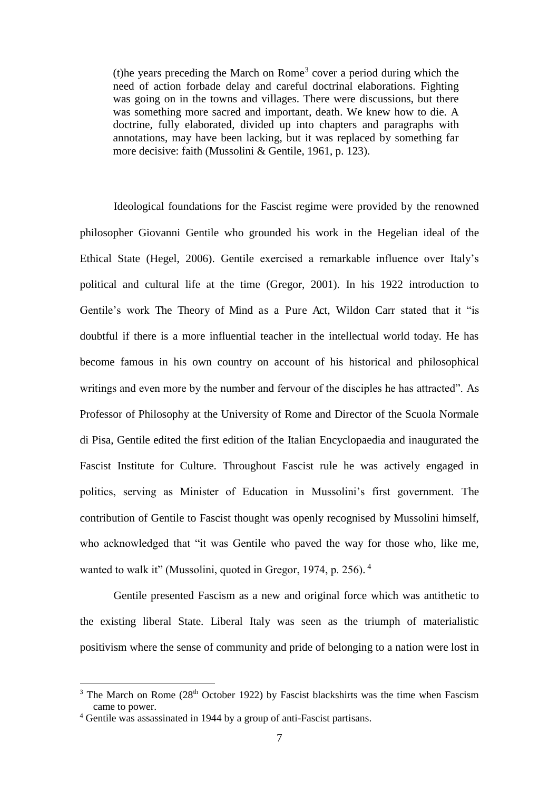(t) he years preceding the March on Rome<sup>3</sup> cover a period during which the need of action forbade delay and careful doctrinal elaborations. Fighting was going on in the towns and villages. There were discussions, but there was something more sacred and important, death. We knew how to die. A doctrine, fully elaborated, divided up into chapters and paragraphs with annotations, may have been lacking, but it was replaced by something far more decisive: faith (Mussolini & Gentile, 1961, p. 123).

Ideological foundations for the Fascist regime were provided by the renowned philosopher Giovanni Gentile who grounded his work in the Hegelian ideal of the Ethical State (Hegel, 2006). Gentile exercised a remarkable influence over Italy's political and cultural life at the time (Gregor, 2001). In his 1922 introduction to Gentile's work The Theory of Mind as a Pure Act, Wildon Carr stated that it "is doubtful if there is a more influential teacher in the intellectual world today. He has become famous in his own country on account of his historical and philosophical writings and even more by the number and fervour of the disciples he has attracted". As Professor of Philosophy at the University of Rome and Director of the Scuola Normale di Pisa, Gentile edited the first edition of the Italian Encyclopaedia and inaugurated the Fascist Institute for Culture. Throughout Fascist rule he was actively engaged in politics, serving as Minister of Education in Mussolini's first government. The contribution of Gentile to Fascist thought was openly recognised by Mussolini himself, who acknowledged that "it was Gentile who paved the way for those who, like me, wanted to walk it" (Mussolini, quoted in Gregor, 1974, p. 256).<sup>4</sup>

Gentile presented Fascism as a new and original force which was antithetic to the existing liberal State. Liberal Italy was seen as the triumph of materialistic positivism where the sense of community and pride of belonging to a nation were lost in

-

<sup>&</sup>lt;sup>3</sup> The March on Rome ( $28<sup>th</sup>$  October 1922) by Fascist blackshirts was the time when Fascism came to power.

<sup>4</sup> Gentile was assassinated in 1944 by a group of anti-Fascist partisans.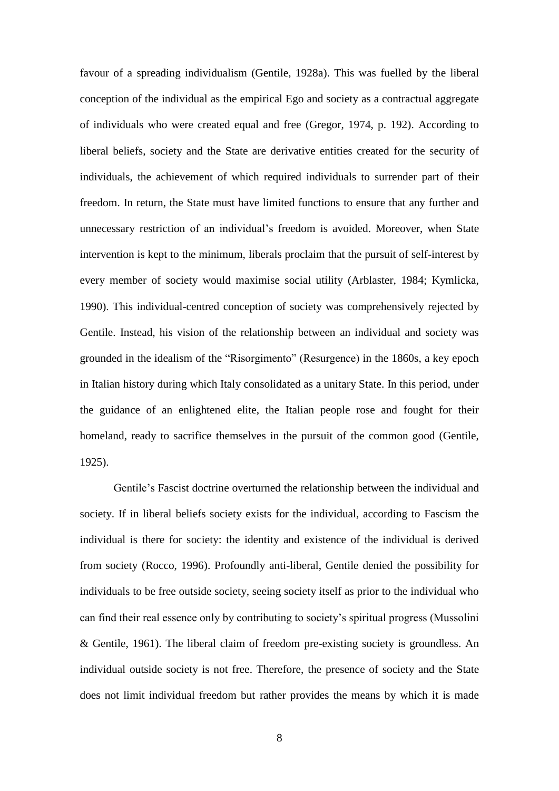favour of a spreading individualism (Gentile, 1928a). This was fuelled by the liberal conception of the individual as the empirical Ego and society as a contractual aggregate of individuals who were created equal and free (Gregor, 1974, p. 192). According to liberal beliefs, society and the State are derivative entities created for the security of individuals, the achievement of which required individuals to surrender part of their freedom. In return, the State must have limited functions to ensure that any further and unnecessary restriction of an individual's freedom is avoided. Moreover, when State intervention is kept to the minimum, liberals proclaim that the pursuit of self-interest by every member of society would maximise social utility (Arblaster, 1984; Kymlicka, 1990). This individual-centred conception of society was comprehensively rejected by Gentile. Instead, his vision of the relationship between an individual and society was grounded in the idealism of the "Risorgimento" (Resurgence) in the 1860s, a key epoch in Italian history during which Italy consolidated as a unitary State. In this period, under the guidance of an enlightened elite, the Italian people rose and fought for their homeland, ready to sacrifice themselves in the pursuit of the common good (Gentile, 1925).

Gentile's Fascist doctrine overturned the relationship between the individual and society. If in liberal beliefs society exists for the individual, according to Fascism the individual is there for society: the identity and existence of the individual is derived from society (Rocco, 1996). Profoundly anti-liberal, Gentile denied the possibility for individuals to be free outside society, seeing society itself as prior to the individual who can find their real essence only by contributing to society's spiritual progress (Mussolini & Gentile, 1961). The liberal claim of freedom pre-existing society is groundless. An individual outside society is not free. Therefore, the presence of society and the State does not limit individual freedom but rather provides the means by which it is made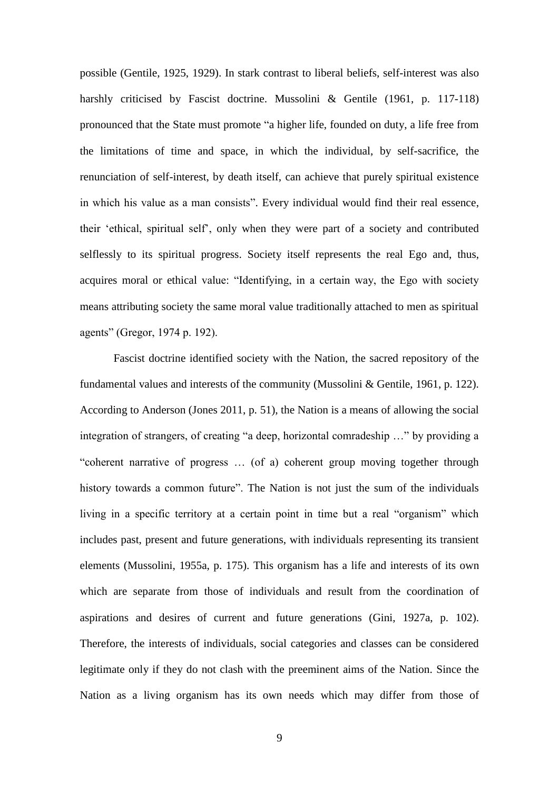possible (Gentile, 1925, 1929). In stark contrast to liberal beliefs, self-interest was also harshly criticised by Fascist doctrine. Mussolini & Gentile (1961, p. 117-118) pronounced that the State must promote "a higher life, founded on duty, a life free from the limitations of time and space, in which the individual, by self-sacrifice, the renunciation of self-interest, by death itself, can achieve that purely spiritual existence in which his value as a man consists". Every individual would find their real essence, their 'ethical, spiritual self', only when they were part of a society and contributed selflessly to its spiritual progress. Society itself represents the real Ego and, thus, acquires moral or ethical value: "Identifying, in a certain way, the Ego with society means attributing society the same moral value traditionally attached to men as spiritual agents" (Gregor, 1974 p. 192).

Fascist doctrine identified society with the Nation, the sacred repository of the fundamental values and interests of the community (Mussolini & Gentile, 1961, p. 122). According to Anderson (Jones 2011, p. 51), the Nation is a means of allowing the social integration of strangers, of creating "a deep, horizontal comradeship …" by providing a "coherent narrative of progress … (of a) coherent group moving together through history towards a common future". The Nation is not just the sum of the individuals living in a specific territory at a certain point in time but a real "organism" which includes past, present and future generations, with individuals representing its transient elements (Mussolini, 1955a, p. 175). This organism has a life and interests of its own which are separate from those of individuals and result from the coordination of aspirations and desires of current and future generations (Gini, 1927a, p. 102). Therefore, the interests of individuals, social categories and classes can be considered legitimate only if they do not clash with the preeminent aims of the Nation. Since the Nation as a living organism has its own needs which may differ from those of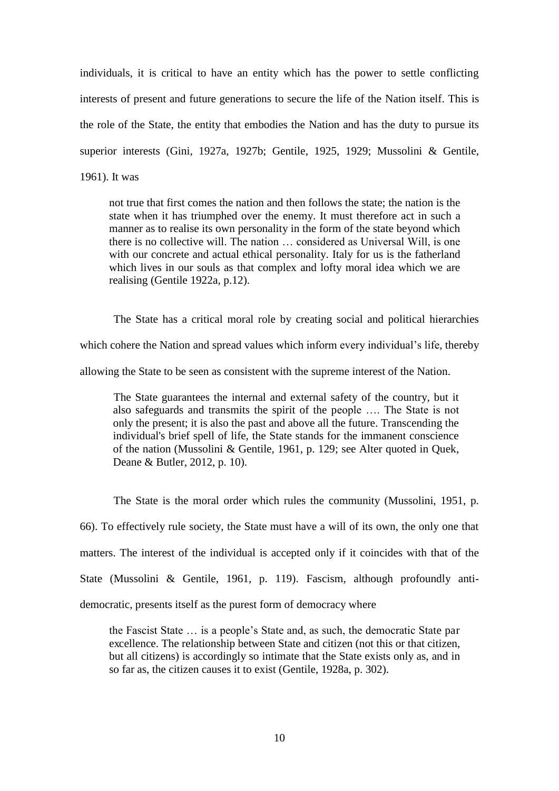individuals, it is critical to have an entity which has the power to settle conflicting interests of present and future generations to secure the life of the Nation itself. This is the role of the State, the entity that embodies the Nation and has the duty to pursue its superior interests (Gini, 1927a, 1927b; Gentile, 1925, 1929; Mussolini & Gentile, 1961). It was

not true that first comes the nation and then follows the state; the nation is the state when it has triumphed over the enemy. It must therefore act in such a manner as to realise its own personality in the form of the state beyond which there is no collective will. The nation … considered as Universal Will, is one with our concrete and actual ethical personality. Italy for us is the fatherland which lives in our souls as that complex and lofty moral idea which we are realising (Gentile 1922a, p.12).

The State has a critical moral role by creating social and political hierarchies which cohere the Nation and spread values which inform every individual's life, thereby allowing the State to be seen as consistent with the supreme interest of the Nation.

The State guarantees the internal and external safety of the country, but it also safeguards and transmits the spirit of the people …. The State is not only the present; it is also the past and above all the future. Transcending the individual's brief spell of life, the State stands for the immanent conscience of the nation (Mussolini & Gentile, 1961, p. 129; see Alter quoted in Quek, Deane & Butler, 2012, p. 10).

The State is the moral order which rules the community (Mussolini, 1951, p. 66). To effectively rule society, the State must have a will of its own, the only one that matters. The interest of the individual is accepted only if it coincides with that of the State (Mussolini & Gentile, 1961, p. 119). Fascism, although profoundly antidemocratic, presents itself as the purest form of democracy where

the Fascist State … is a people's State and, as such, the democratic State par excellence. The relationship between State and citizen (not this or that citizen, but all citizens) is accordingly so intimate that the State exists only as, and in so far as, the citizen causes it to exist (Gentile, 1928a, p. 302).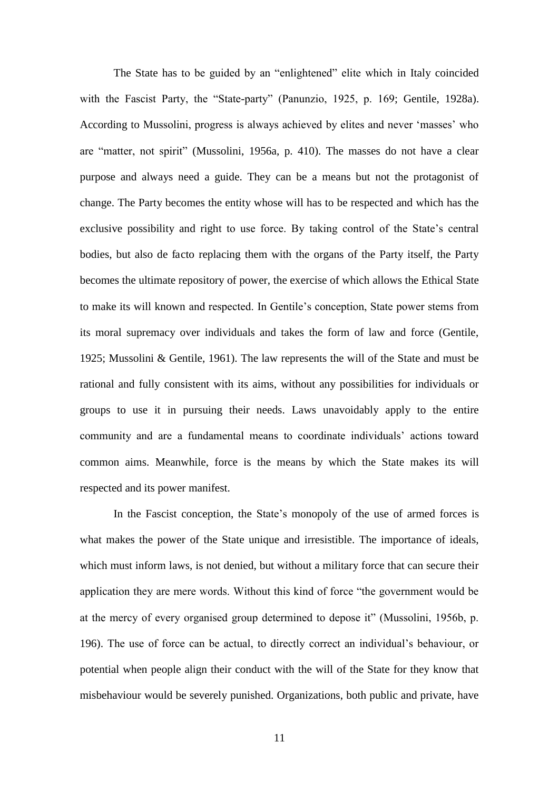The State has to be guided by an "enlightened" elite which in Italy coincided with the Fascist Party, the "State-party" (Panunzio, 1925, p. 169; Gentile, 1928a). According to Mussolini, progress is always achieved by elites and never 'masses' who are "matter, not spirit" (Mussolini, 1956a, p. 410). The masses do not have a clear purpose and always need a guide. They can be a means but not the protagonist of change. The Party becomes the entity whose will has to be respected and which has the exclusive possibility and right to use force. By taking control of the State's central bodies, but also de facto replacing them with the organs of the Party itself, the Party becomes the ultimate repository of power, the exercise of which allows the Ethical State to make its will known and respected. In Gentile's conception, State power stems from its moral supremacy over individuals and takes the form of law and force (Gentile, 1925; Mussolini & Gentile, 1961). The law represents the will of the State and must be rational and fully consistent with its aims, without any possibilities for individuals or groups to use it in pursuing their needs. Laws unavoidably apply to the entire community and are a fundamental means to coordinate individuals' actions toward common aims. Meanwhile, force is the means by which the State makes its will respected and its power manifest.

In the Fascist conception, the State's monopoly of the use of armed forces is what makes the power of the State unique and irresistible. The importance of ideals, which must inform laws, is not denied, but without a military force that can secure their application they are mere words. Without this kind of force "the government would be at the mercy of every organised group determined to depose it" (Mussolini, 1956b, p. 196). The use of force can be actual, to directly correct an individual's behaviour, or potential when people align their conduct with the will of the State for they know that misbehaviour would be severely punished. Organizations, both public and private, have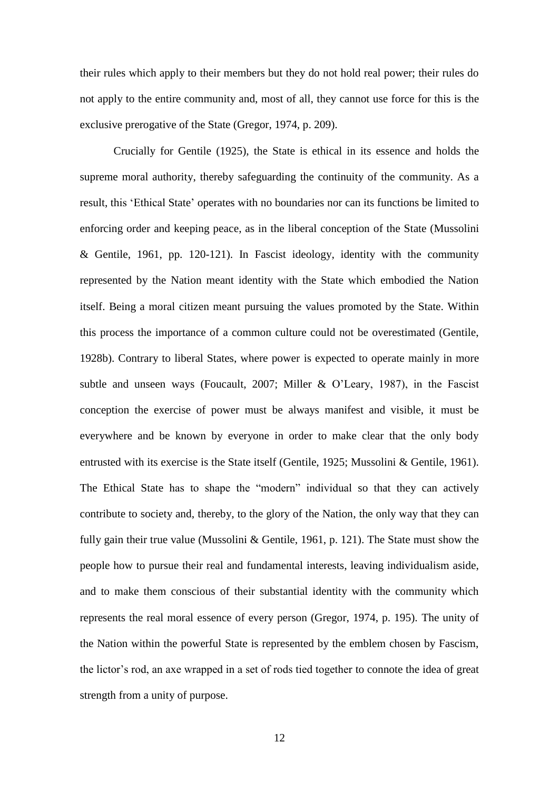their rules which apply to their members but they do not hold real power; their rules do not apply to the entire community and, most of all, they cannot use force for this is the exclusive prerogative of the State (Gregor, 1974, p. 209).

Crucially for Gentile (1925), the State is ethical in its essence and holds the supreme moral authority, thereby safeguarding the continuity of the community. As a result, this 'Ethical State' operates with no boundaries nor can its functions be limited to enforcing order and keeping peace, as in the liberal conception of the State (Mussolini & Gentile, 1961, pp. 120-121). In Fascist ideology, identity with the community represented by the Nation meant identity with the State which embodied the Nation itself. Being a moral citizen meant pursuing the values promoted by the State. Within this process the importance of a common culture could not be overestimated (Gentile, 1928b). Contrary to liberal States, where power is expected to operate mainly in more subtle and unseen ways (Foucault, 2007; Miller & O'Leary, 1987), in the Fascist conception the exercise of power must be always manifest and visible, it must be everywhere and be known by everyone in order to make clear that the only body entrusted with its exercise is the State itself (Gentile, 1925; Mussolini & Gentile, 1961). The Ethical State has to shape the "modern" individual so that they can actively contribute to society and, thereby, to the glory of the Nation, the only way that they can fully gain their true value (Mussolini & Gentile, 1961, p. 121). The State must show the people how to pursue their real and fundamental interests, leaving individualism aside, and to make them conscious of their substantial identity with the community which represents the real moral essence of every person (Gregor, 1974, p. 195). The unity of the Nation within the powerful State is represented by the emblem chosen by Fascism, the lictor's rod, an axe wrapped in a set of rods tied together to connote the idea of great strength from a unity of purpose.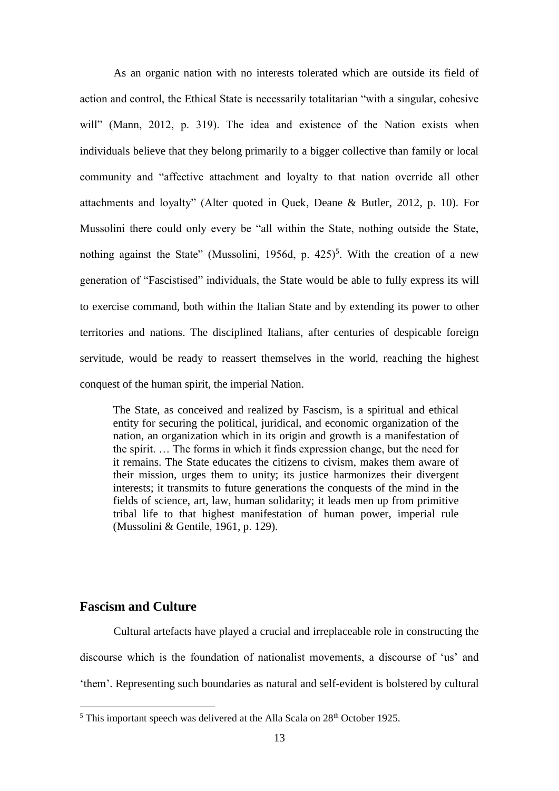As an organic nation with no interests tolerated which are outside its field of action and control, the Ethical State is necessarily totalitarian "with a singular, cohesive will" (Mann, 2012, p. 319). The idea and existence of the Nation exists when individuals believe that they belong primarily to a bigger collective than family or local community and "affective attachment and loyalty to that nation override all other attachments and loyalty" (Alter quoted in Quek, Deane & Butler, 2012, p. 10). For Mussolini there could only every be "all within the State, nothing outside the State, nothing against the State" (Mussolini, 1956d, p.  $425$ )<sup>5</sup>. With the creation of a new generation of "Fascistised" individuals, the State would be able to fully express its will to exercise command, both within the Italian State and by extending its power to other territories and nations. The disciplined Italians, after centuries of despicable foreign servitude, would be ready to reassert themselves in the world, reaching the highest conquest of the human spirit, the imperial Nation.

The State, as conceived and realized by Fascism, is a spiritual and ethical entity for securing the political, juridical, and economic organization of the nation, an organization which in its origin and growth is a manifestation of the spirit. … The forms in which it finds expression change, but the need for it remains. The State educates the citizens to civism, makes them aware of their mission, urges them to unity; its justice harmonizes their divergent interests; it transmits to future generations the conquests of the mind in the fields of science, art, law, human solidarity; it leads men up from primitive tribal life to that highest manifestation of human power, imperial rule (Mussolini & Gentile, 1961, p. 129).

# **Fascism and Culture**

<u>.</u>

Cultural artefacts have played a crucial and irreplaceable role in constructing the discourse which is the foundation of nationalist movements, a discourse of 'us' and 'them'. Representing such boundaries as natural and self-evident is bolstered by cultural

<sup>&</sup>lt;sup>5</sup> This important speech was delivered at the Alla Scala on  $28<sup>th</sup>$  October 1925.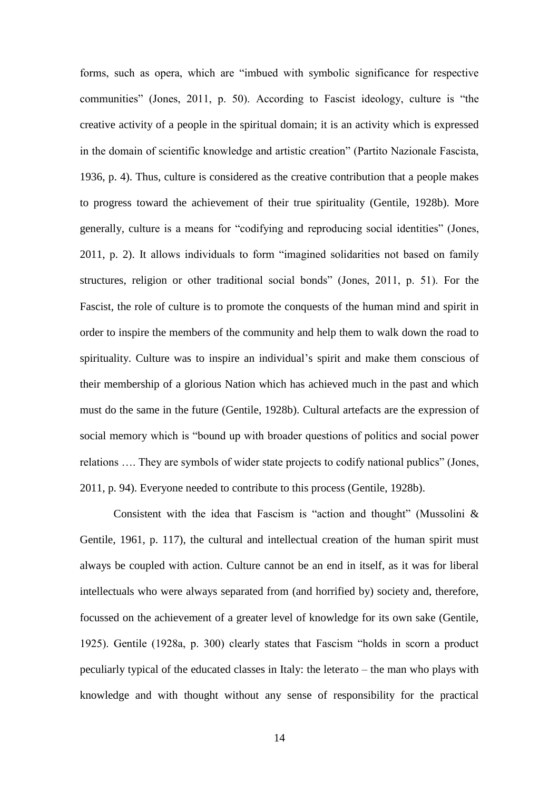forms, such as opera, which are "imbued with symbolic significance for respective communities" (Jones, 2011, p. 50). According to Fascist ideology, culture is "the creative activity of a people in the spiritual domain; it is an activity which is expressed in the domain of scientific knowledge and artistic creation" (Partito Nazionale Fascista, 1936, p. 4). Thus, culture is considered as the creative contribution that a people makes to progress toward the achievement of their true spirituality (Gentile, 1928b). More generally, culture is a means for "codifying and reproducing social identities" (Jones, 2011, p. 2). It allows individuals to form "imagined solidarities not based on family structures, religion or other traditional social bonds" (Jones, 2011, p. 51). For the Fascist, the role of culture is to promote the conquests of the human mind and spirit in order to inspire the members of the community and help them to walk down the road to spirituality. Culture was to inspire an individual's spirit and make them conscious of their membership of a glorious Nation which has achieved much in the past and which must do the same in the future (Gentile, 1928b). Cultural artefacts are the expression of social memory which is "bound up with broader questions of politics and social power relations …. They are symbols of wider state projects to codify national publics" (Jones, 2011, p. 94). Everyone needed to contribute to this process (Gentile, 1928b).

Consistent with the idea that Fascism is "action and thought" (Mussolini & Gentile, 1961, p. 117), the cultural and intellectual creation of the human spirit must always be coupled with action. Culture cannot be an end in itself, as it was for liberal intellectuals who were always separated from (and horrified by) society and, therefore, focussed on the achievement of a greater level of knowledge for its own sake (Gentile, 1925). Gentile (1928a, p. 300) clearly states that Fascism "holds in scorn a product peculiarly typical of the educated classes in Italy: the leterato – the man who plays with knowledge and with thought without any sense of responsibility for the practical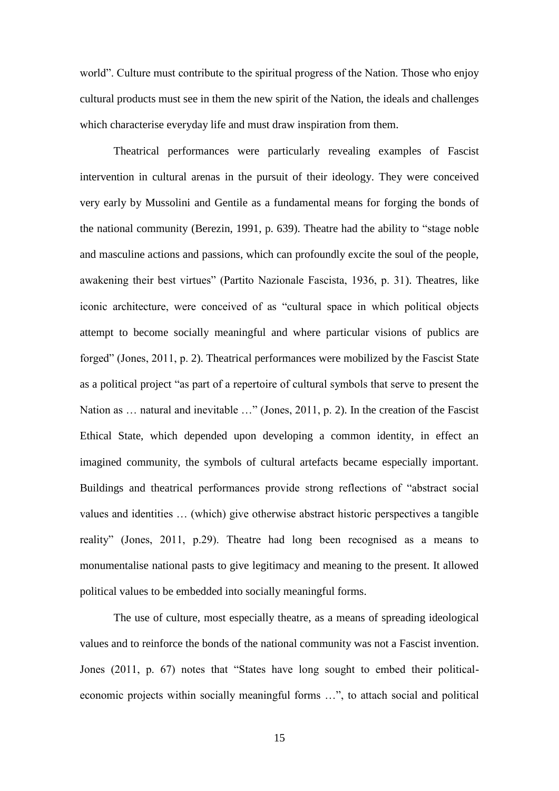world". Culture must contribute to the spiritual progress of the Nation. Those who enjoy cultural products must see in them the new spirit of the Nation, the ideals and challenges which characterise everyday life and must draw inspiration from them.

Theatrical performances were particularly revealing examples of Fascist intervention in cultural arenas in the pursuit of their ideology. They were conceived very early by Mussolini and Gentile as a fundamental means for forging the bonds of the national community (Berezin, 1991, p. 639). Theatre had the ability to "stage noble and masculine actions and passions, which can profoundly excite the soul of the people, awakening their best virtues" (Partito Nazionale Fascista, 1936, p. 31). Theatres, like iconic architecture, were conceived of as "cultural space in which political objects attempt to become socially meaningful and where particular visions of publics are forged" (Jones, 2011, p. 2). Theatrical performances were mobilized by the Fascist State as a political project "as part of a repertoire of cultural symbols that serve to present the Nation as … natural and inevitable …" (Jones, 2011, p. 2). In the creation of the Fascist Ethical State, which depended upon developing a common identity, in effect an imagined community, the symbols of cultural artefacts became especially important. Buildings and theatrical performances provide strong reflections of "abstract social values and identities … (which) give otherwise abstract historic perspectives a tangible reality" (Jones, 2011, p.29). Theatre had long been recognised as a means to monumentalise national pasts to give legitimacy and meaning to the present. It allowed political values to be embedded into socially meaningful forms.

The use of culture, most especially theatre, as a means of spreading ideological values and to reinforce the bonds of the national community was not a Fascist invention. Jones (2011, p. 67) notes that "States have long sought to embed their politicaleconomic projects within socially meaningful forms …", to attach social and political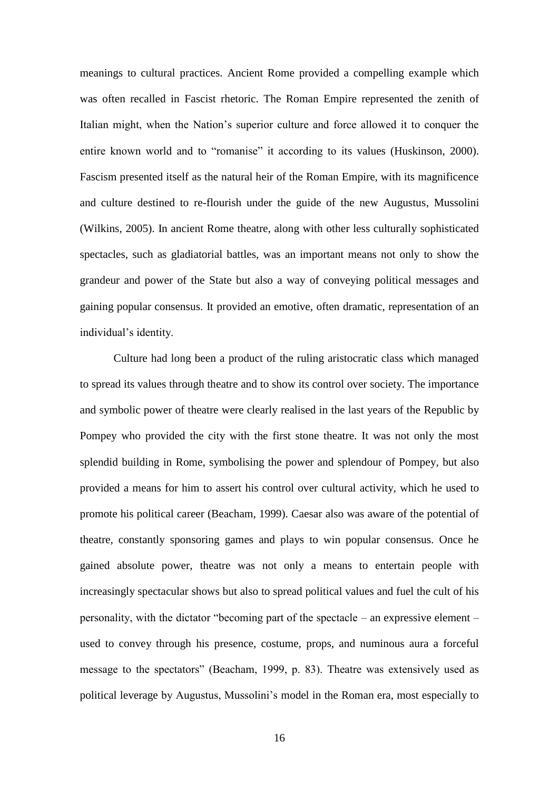meanings to cultural practices. Ancient Rome provided a compelling example which was often recalled in Fascist rhetoric. The Roman Empire represented the zenith of Italian might, when the Nation's superior culture and force allowed it to conquer the entire known world and to "romanise" it according to its values (Huskinson, 2000). Fascism presented itself as the natural heir of the Roman Empire, with its magnificence and culture destined to re-flourish under the guide of the new Augustus, Mussolini (Wilkins, 2005). In ancient Rome theatre, along with other less culturally sophisticated spectacles, such as gladiatorial battles, was an important means not only to show the grandeur and power of the State but also a way of conveying political messages and gaining popular consensus. It provided an emotive, often dramatic, representation of an individual's identity.

Culture had long been a product of the ruling aristocratic class which managed to spread its values through theatre and to show its control over society. The importance and symbolic power of theatre were clearly realised in the last years of the Republic by Pompey who provided the city with the first stone theatre. It was not only the most splendid building in Rome, symbolising the power and splendour of Pompey, but also provided a means for him to assert his control over cultural activity, which he used to promote his political career (Beacham, 1999). Caesar also was aware of the potential of theatre, constantly sponsoring games and plays to win popular consensus. Once he gained absolute power, theatre was not only a means to entertain people with increasingly spectacular shows but also to spread political values and fuel the cult of his personality, with the dictator "becoming part of the spectacle – an expressive element – used to convey through his presence, costume, props, and numinous aura a forceful message to the spectators" (Beacham, 1999, p. 83). Theatre was extensively used as political leverage by Augustus, Mussolini's model in the Roman era, most especially to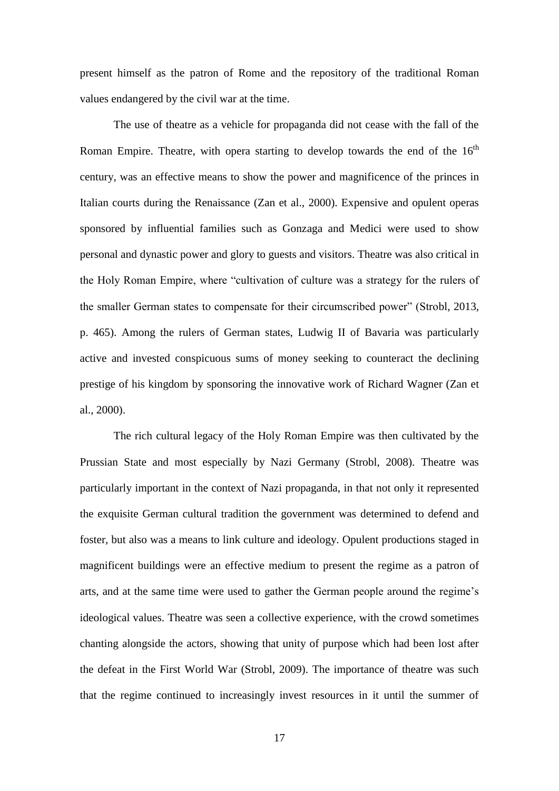present himself as the patron of Rome and the repository of the traditional Roman values endangered by the civil war at the time.

The use of theatre as a vehicle for propaganda did not cease with the fall of the Roman Empire. Theatre, with opera starting to develop towards the end of the  $16<sup>th</sup>$ century, was an effective means to show the power and magnificence of the princes in Italian courts during the Renaissance (Zan et al., 2000). Expensive and opulent operas sponsored by influential families such as Gonzaga and Medici were used to show personal and dynastic power and glory to guests and visitors. Theatre was also critical in the Holy Roman Empire, where "cultivation of culture was a strategy for the rulers of the smaller German states to compensate for their circumscribed power" (Strobl, 2013, p. 465). Among the rulers of German states, Ludwig II of Bavaria was particularly active and invested conspicuous sums of money seeking to counteract the declining prestige of his kingdom by sponsoring the innovative work of Richard Wagner (Zan et al., 2000).

The rich cultural legacy of the Holy Roman Empire was then cultivated by the Prussian State and most especially by Nazi Germany (Strobl, 2008). Theatre was particularly important in the context of Nazi propaganda, in that not only it represented the exquisite German cultural tradition the government was determined to defend and foster, but also was a means to link culture and ideology. Opulent productions staged in magnificent buildings were an effective medium to present the regime as a patron of arts, and at the same time were used to gather the German people around the regime's ideological values. Theatre was seen a collective experience, with the crowd sometimes chanting alongside the actors, showing that unity of purpose which had been lost after the defeat in the First World War (Strobl, 2009). The importance of theatre was such that the regime continued to increasingly invest resources in it until the summer of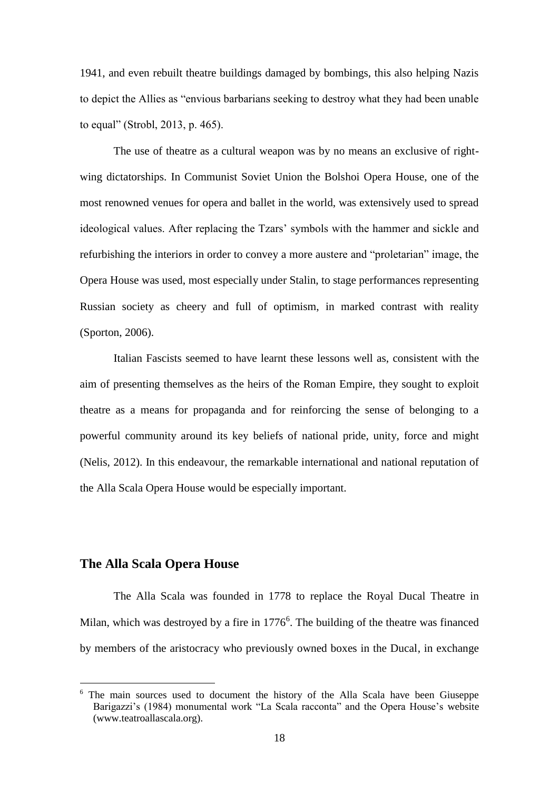1941, and even rebuilt theatre buildings damaged by bombings, this also helping Nazis to depict the Allies as "envious barbarians seeking to destroy what they had been unable to equal" (Strobl, 2013, p. 465).

The use of theatre as a cultural weapon was by no means an exclusive of rightwing dictatorships. In Communist Soviet Union the Bolshoi Opera House, one of the most renowned venues for opera and ballet in the world, was extensively used to spread ideological values. After replacing the Tzars' symbols with the hammer and sickle and refurbishing the interiors in order to convey a more austere and "proletarian" image, the Opera House was used, most especially under Stalin, to stage performances representing Russian society as cheery and full of optimism, in marked contrast with reality (Sporton, 2006).

Italian Fascists seemed to have learnt these lessons well as, consistent with the aim of presenting themselves as the heirs of the Roman Empire, they sought to exploit theatre as a means for propaganda and for reinforcing the sense of belonging to a powerful community around its key beliefs of national pride, unity, force and might (Nelis, 2012). In this endeavour, the remarkable international and national reputation of the Alla Scala Opera House would be especially important.

## **The Alla Scala Opera House**

-

The Alla Scala was founded in 1778 to replace the Royal Ducal Theatre in Milan, which was destroyed by a fire in  $1776<sup>6</sup>$ . The building of the theatre was financed by members of the aristocracy who previously owned boxes in the Ducal, in exchange

<sup>&</sup>lt;sup>6</sup> The main sources used to document the history of the Alla Scala have been Giuseppe Barigazzi's (1984) monumental work "La Scala racconta" and the Opera House's website (www.teatroallascala.org).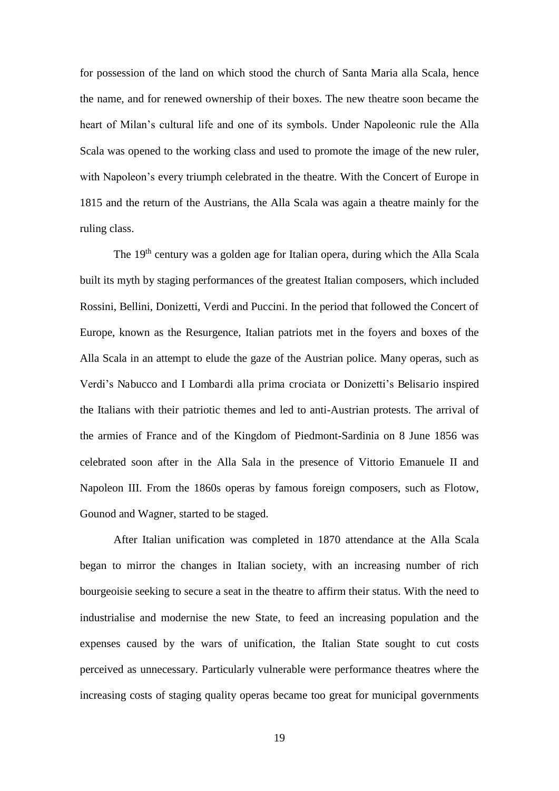for possession of the land on which stood the church of Santa Maria alla Scala, hence the name, and for renewed ownership of their boxes. The new theatre soon became the heart of Milan's cultural life and one of its symbols. Under Napoleonic rule the Alla Scala was opened to the working class and used to promote the image of the new ruler, with Napoleon's every triumph celebrated in the theatre. With the Concert of Europe in 1815 and the return of the Austrians, the Alla Scala was again a theatre mainly for the ruling class.

The 19<sup>th</sup> century was a golden age for Italian opera, during which the Alla Scala built its myth by staging performances of the greatest Italian composers, which included Rossini, Bellini, Donizetti, Verdi and Puccini. In the period that followed the Concert of Europe, known as the Resurgence, Italian patriots met in the foyers and boxes of the Alla Scala in an attempt to elude the gaze of the Austrian police. Many operas, such as Verdi's Nabucco and I Lombardi alla prima crociata or Donizetti's Belisario inspired the Italians with their patriotic themes and led to anti-Austrian protests. The arrival of the armies of France and of the Kingdom of Piedmont-Sardinia on 8 June 1856 was celebrated soon after in the Alla Sala in the presence of Vittorio Emanuele II and Napoleon III. From the 1860s operas by famous foreign composers, such as Flotow, Gounod and Wagner, started to be staged.

After Italian unification was completed in 1870 attendance at the Alla Scala began to mirror the changes in Italian society, with an increasing number of rich bourgeoisie seeking to secure a seat in the theatre to affirm their status. With the need to industrialise and modernise the new State, to feed an increasing population and the expenses caused by the wars of unification, the Italian State sought to cut costs perceived as unnecessary. Particularly vulnerable were performance theatres where the increasing costs of staging quality operas became too great for municipal governments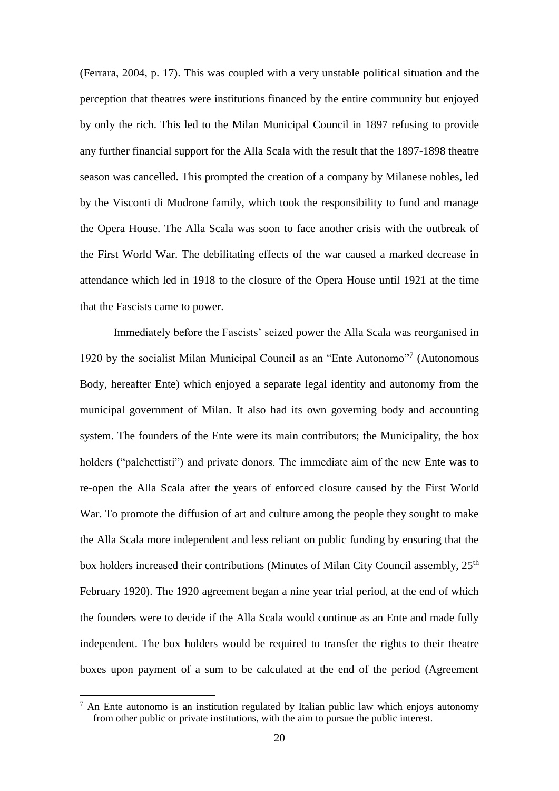(Ferrara, 2004, p. 17). This was coupled with a very unstable political situation and the perception that theatres were institutions financed by the entire community but enjoyed by only the rich. This led to the Milan Municipal Council in 1897 refusing to provide any further financial support for the Alla Scala with the result that the 1897-1898 theatre season was cancelled. This prompted the creation of a company by Milanese nobles, led by the Visconti di Modrone family, which took the responsibility to fund and manage the Opera House. The Alla Scala was soon to face another crisis with the outbreak of the First World War. The debilitating effects of the war caused a marked decrease in attendance which led in 1918 to the closure of the Opera House until 1921 at the time that the Fascists came to power.

Immediately before the Fascists' seized power the Alla Scala was reorganised in 1920 by the socialist Milan Municipal Council as an "Ente Autonomo"<sup>7</sup> (Autonomous Body, hereafter Ente) which enjoyed a separate legal identity and autonomy from the municipal government of Milan. It also had its own governing body and accounting system. The founders of the Ente were its main contributors; the Municipality, the box holders ("palchettisti") and private donors. The immediate aim of the new Ente was to re-open the Alla Scala after the years of enforced closure caused by the First World War. To promote the diffusion of art and culture among the people they sought to make the Alla Scala more independent and less reliant on public funding by ensuring that the box holders increased their contributions (Minutes of Milan City Council assembly,  $25<sup>th</sup>$ February 1920). The 1920 agreement began a nine year trial period, at the end of which the founders were to decide if the Alla Scala would continue as an Ente and made fully independent. The box holders would be required to transfer the rights to their theatre boxes upon payment of a sum to be calculated at the end of the period (Agreement

<u>.</u>

<sup>&</sup>lt;sup>7</sup> An Ente autonomo is an institution regulated by Italian public law which enjoys autonomy from other public or private institutions, with the aim to pursue the public interest.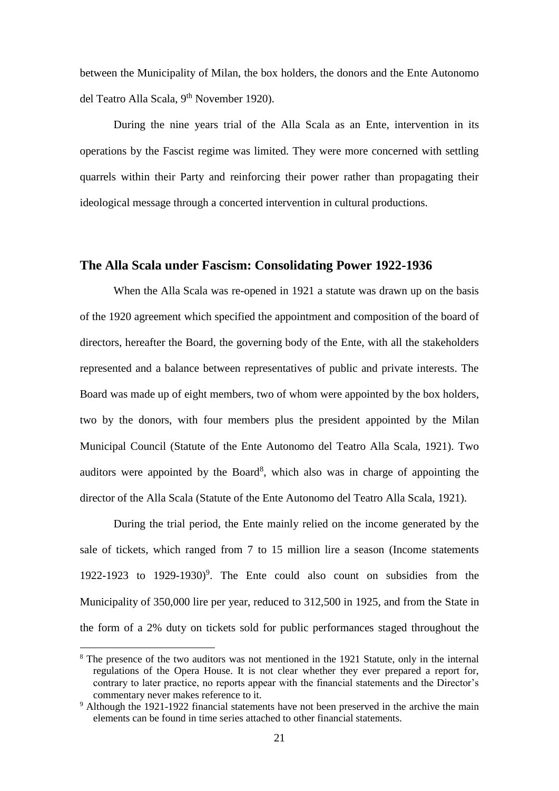between the Municipality of Milan, the box holders, the donors and the Ente Autonomo del Teatro Alla Scala, 9<sup>th</sup> November 1920).

During the nine years trial of the Alla Scala as an Ente, intervention in its operations by the Fascist regime was limited. They were more concerned with settling quarrels within their Party and reinforcing their power rather than propagating their ideological message through a concerted intervention in cultural productions.

# **The Alla Scala under Fascism: Consolidating Power 1922-1936**

When the Alla Scala was re-opened in 1921 a statute was drawn up on the basis of the 1920 agreement which specified the appointment and composition of the board of directors, hereafter the Board, the governing body of the Ente, with all the stakeholders represented and a balance between representatives of public and private interests. The Board was made up of eight members, two of whom were appointed by the box holders, two by the donors, with four members plus the president appointed by the Milan Municipal Council (Statute of the Ente Autonomo del Teatro Alla Scala, 1921). Two auditors were appointed by the Board<sup>8</sup>, which also was in charge of appointing the director of the Alla Scala (Statute of the Ente Autonomo del Teatro Alla Scala, 1921).

During the trial period, the Ente mainly relied on the income generated by the sale of tickets, which ranged from 7 to 15 million lire a season (Income statements 1922-1923 to  $1929-1930$ <sup>9</sup>. The Ente could also count on subsidies from the Municipality of 350,000 lire per year, reduced to 312,500 in 1925, and from the State in the form of a 2% duty on tickets sold for public performances staged throughout the

-

<sup>&</sup>lt;sup>8</sup> The presence of the two auditors was not mentioned in the 1921 Statute, only in the internal regulations of the Opera House. It is not clear whether they ever prepared a report for, contrary to later practice, no reports appear with the financial statements and the Director's commentary never makes reference to it.

<sup>&</sup>lt;sup>9</sup> Although the 1921-1922 financial statements have not been preserved in the archive the main elements can be found in time series attached to other financial statements.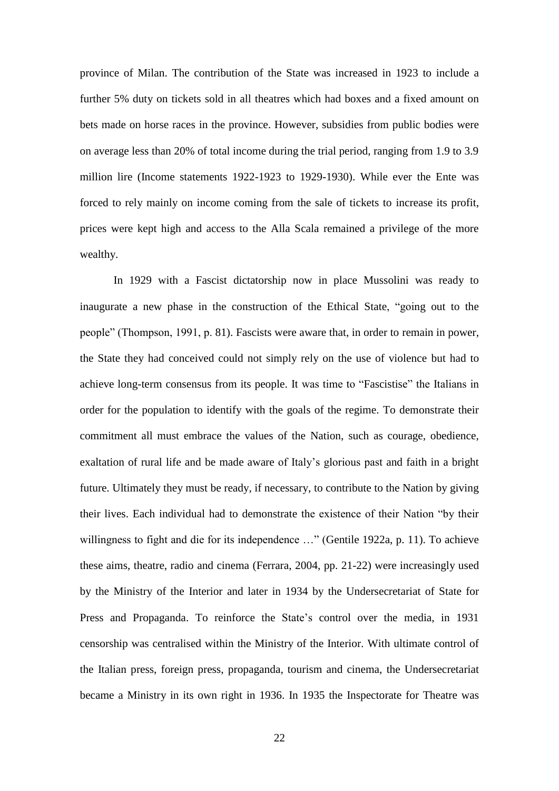province of Milan. The contribution of the State was increased in 1923 to include a further 5% duty on tickets sold in all theatres which had boxes and a fixed amount on bets made on horse races in the province. However, subsidies from public bodies were on average less than 20% of total income during the trial period, ranging from 1.9 to 3.9 million lire (Income statements 1922-1923 to 1929-1930). While ever the Ente was forced to rely mainly on income coming from the sale of tickets to increase its profit, prices were kept high and access to the Alla Scala remained a privilege of the more wealthy.

In 1929 with a Fascist dictatorship now in place Mussolini was ready to inaugurate a new phase in the construction of the Ethical State, "going out to the people" (Thompson, 1991, p. 81). Fascists were aware that, in order to remain in power, the State they had conceived could not simply rely on the use of violence but had to achieve long-term consensus from its people. It was time to "Fascistise" the Italians in order for the population to identify with the goals of the regime. To demonstrate their commitment all must embrace the values of the Nation, such as courage, obedience, exaltation of rural life and be made aware of Italy's glorious past and faith in a bright future. Ultimately they must be ready, if necessary, to contribute to the Nation by giving their lives. Each individual had to demonstrate the existence of their Nation "by their willingness to fight and die for its independence ..." (Gentile 1922a, p. 11). To achieve these aims, theatre, radio and cinema (Ferrara, 2004, pp. 21-22) were increasingly used by the Ministry of the Interior and later in 1934 by the Undersecretariat of State for Press and Propaganda. To reinforce the State's control over the media, in 1931 censorship was centralised within the Ministry of the Interior. With ultimate control of the Italian press, foreign press, propaganda, tourism and cinema, the Undersecretariat became a Ministry in its own right in 1936. In 1935 the Inspectorate for Theatre was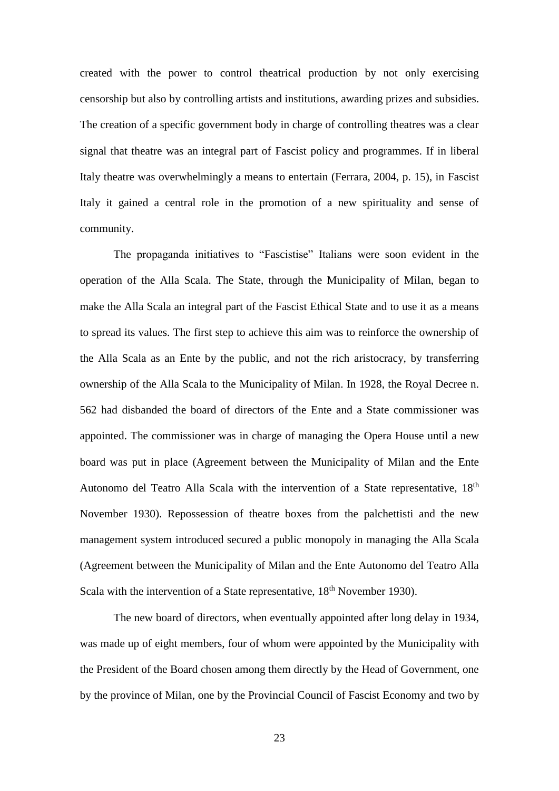created with the power to control theatrical production by not only exercising censorship but also by controlling artists and institutions, awarding prizes and subsidies. The creation of a specific government body in charge of controlling theatres was a clear signal that theatre was an integral part of Fascist policy and programmes. If in liberal Italy theatre was overwhelmingly a means to entertain (Ferrara, 2004, p. 15), in Fascist Italy it gained a central role in the promotion of a new spirituality and sense of community.

The propaganda initiatives to "Fascistise" Italians were soon evident in the operation of the Alla Scala. The State, through the Municipality of Milan, began to make the Alla Scala an integral part of the Fascist Ethical State and to use it as a means to spread its values. The first step to achieve this aim was to reinforce the ownership of the Alla Scala as an Ente by the public, and not the rich aristocracy, by transferring ownership of the Alla Scala to the Municipality of Milan. In 1928, the Royal Decree n. 562 had disbanded the board of directors of the Ente and a State commissioner was appointed. The commissioner was in charge of managing the Opera House until a new board was put in place (Agreement between the Municipality of Milan and the Ente Autonomo del Teatro Alla Scala with the intervention of a State representative, 18<sup>th</sup> November 1930). Repossession of theatre boxes from the palchettisti and the new management system introduced secured a public monopoly in managing the Alla Scala (Agreement between the Municipality of Milan and the Ente Autonomo del Teatro Alla Scala with the intervention of a State representative, 18<sup>th</sup> November 1930).

The new board of directors, when eventually appointed after long delay in 1934, was made up of eight members, four of whom were appointed by the Municipality with the President of the Board chosen among them directly by the Head of Government, one by the province of Milan, one by the Provincial Council of Fascist Economy and two by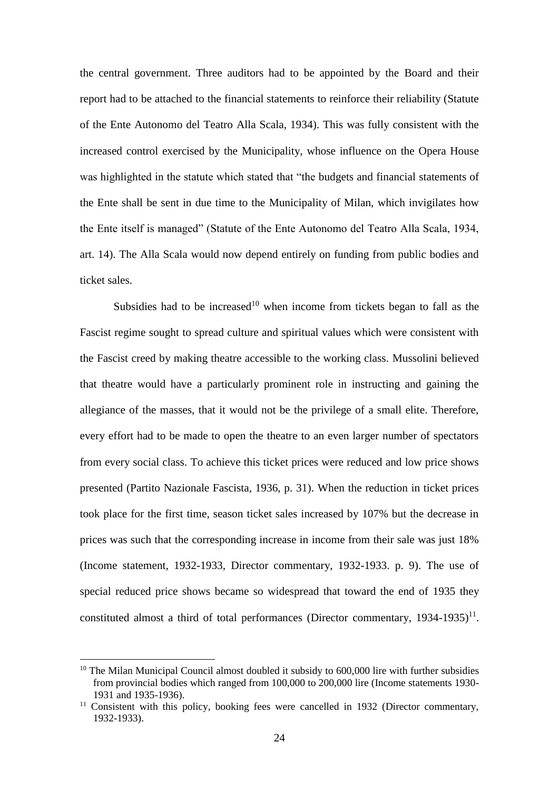the central government. Three auditors had to be appointed by the Board and their report had to be attached to the financial statements to reinforce their reliability (Statute of the Ente Autonomo del Teatro Alla Scala, 1934). This was fully consistent with the increased control exercised by the Municipality, whose influence on the Opera House was highlighted in the statute which stated that "the budgets and financial statements of the Ente shall be sent in due time to the Municipality of Milan, which invigilates how the Ente itself is managed" (Statute of the Ente Autonomo del Teatro Alla Scala, 1934, art. 14). The Alla Scala would now depend entirely on funding from public bodies and ticket sales.

Subsidies had to be increased<sup>10</sup> when income from tickets began to fall as the Fascist regime sought to spread culture and spiritual values which were consistent with the Fascist creed by making theatre accessible to the working class. Mussolini believed that theatre would have a particularly prominent role in instructing and gaining the allegiance of the masses, that it would not be the privilege of a small elite. Therefore, every effort had to be made to open the theatre to an even larger number of spectators from every social class. To achieve this ticket prices were reduced and low price shows presented (Partito Nazionale Fascista, 1936, p. 31). When the reduction in ticket prices took place for the first time, season ticket sales increased by 107% but the decrease in prices was such that the corresponding increase in income from their sale was just 18% (Income statement, 1932-1933, Director commentary, 1932-1933. p. 9). The use of special reduced price shows became so widespread that toward the end of 1935 they constituted almost a third of total performances (Director commentary,  $1934-1935$ )<sup>11</sup>.

<u>.</u>

 $10$  The Milan Municipal Council almost doubled it subsidy to 600,000 lire with further subsidies from provincial bodies which ranged from 100,000 to 200,000 lire (Income statements 1930- 1931 and 1935-1936).

<sup>&</sup>lt;sup>11</sup> Consistent with this policy, booking fees were cancelled in 1932 (Director commentary, 1932-1933).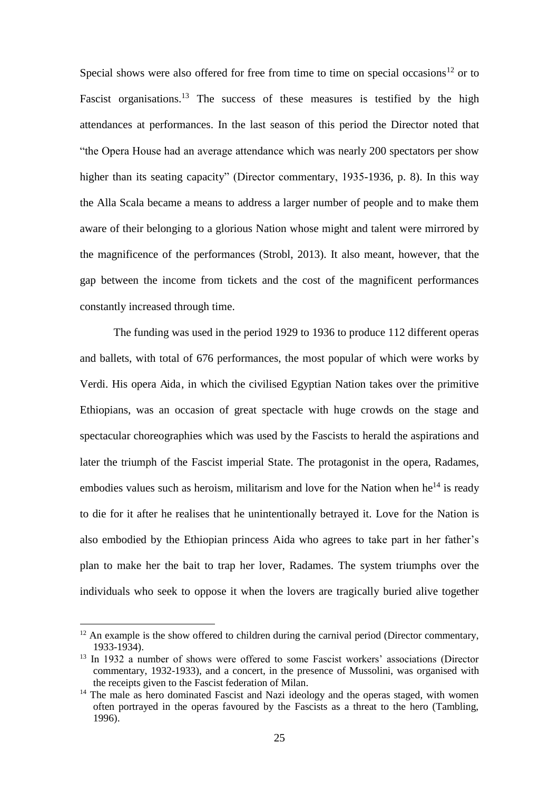Special shows were also offered for free from time to time on special occasions<sup>12</sup> or to Fascist organisations.<sup>13</sup> The success of these measures is testified by the high attendances at performances. In the last season of this period the Director noted that "the Opera House had an average attendance which was nearly 200 spectators per show higher than its seating capacity" (Director commentary, 1935-1936, p. 8). In this way the Alla Scala became a means to address a larger number of people and to make them aware of their belonging to a glorious Nation whose might and talent were mirrored by the magnificence of the performances (Strobl, 2013). It also meant, however, that the gap between the income from tickets and the cost of the magnificent performances constantly increased through time.

The funding was used in the period 1929 to 1936 to produce 112 different operas and ballets, with total of 676 performances, the most popular of which were works by Verdi. His opera Aida, in which the civilised Egyptian Nation takes over the primitive Ethiopians, was an occasion of great spectacle with huge crowds on the stage and spectacular choreographies which was used by the Fascists to herald the aspirations and later the triumph of the Fascist imperial State. The protagonist in the opera, Radames, embodies values such as heroism, militarism and love for the Nation when he<sup>14</sup> is ready to die for it after he realises that he unintentionally betrayed it. Love for the Nation is also embodied by the Ethiopian princess Aida who agrees to take part in her father's plan to make her the bait to trap her lover, Radames. The system triumphs over the individuals who seek to oppose it when the lovers are tragically buried alive together

<u>.</u>

 $12$  An example is the show offered to children during the carnival period (Director commentary, 1933-1934).

<sup>&</sup>lt;sup>13</sup> In 1932 a number of shows were offered to some Fascist workers' associations (Director commentary, 1932-1933), and a concert, in the presence of Mussolini, was organised with the receipts given to the Fascist federation of Milan.

 $14$  The male as hero dominated Fascist and Nazi ideology and the operas staged, with women often portrayed in the operas favoured by the Fascists as a threat to the hero (Tambling, 1996).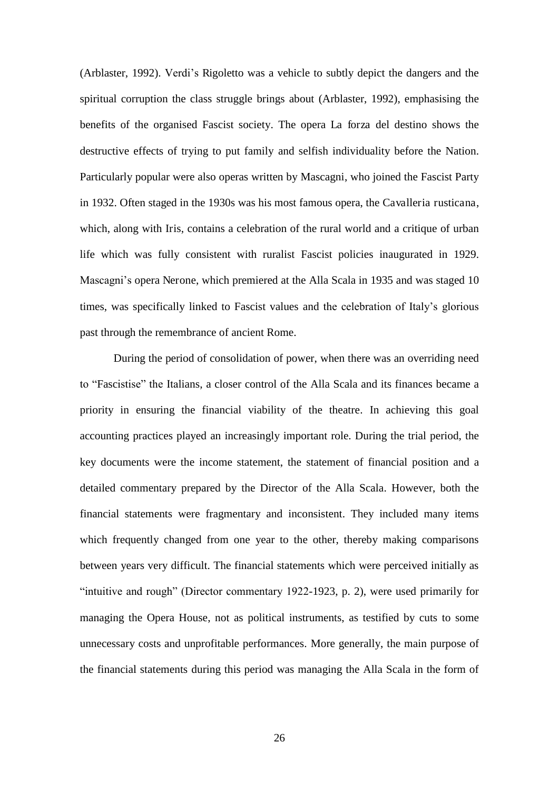(Arblaster, 1992). Verdi's Rigoletto was a vehicle to subtly depict the dangers and the spiritual corruption the class struggle brings about (Arblaster, 1992), emphasising the benefits of the organised Fascist society. The opera La forza del destino shows the destructive effects of trying to put family and selfish individuality before the Nation. Particularly popular were also operas written by Mascagni, who joined the Fascist Party in 1932. Often staged in the 1930s was his most famous opera, the Cavalleria rusticana, which, along with Iris, contains a celebration of the rural world and a critique of urban life which was fully consistent with ruralist Fascist policies inaugurated in 1929. Mascagni's opera Nerone, which premiered at the Alla Scala in 1935 and was staged 10 times, was specifically linked to Fascist values and the celebration of Italy's glorious past through the remembrance of ancient Rome.

During the period of consolidation of power, when there was an overriding need to "Fascistise" the Italians, a closer control of the Alla Scala and its finances became a priority in ensuring the financial viability of the theatre. In achieving this goal accounting practices played an increasingly important role. During the trial period, the key documents were the income statement, the statement of financial position and a detailed commentary prepared by the Director of the Alla Scala. However, both the financial statements were fragmentary and inconsistent. They included many items which frequently changed from one year to the other, thereby making comparisons between years very difficult. The financial statements which were perceived initially as "intuitive and rough" (Director commentary 1922-1923, p. 2), were used primarily for managing the Opera House, not as political instruments, as testified by cuts to some unnecessary costs and unprofitable performances. More generally, the main purpose of the financial statements during this period was managing the Alla Scala in the form of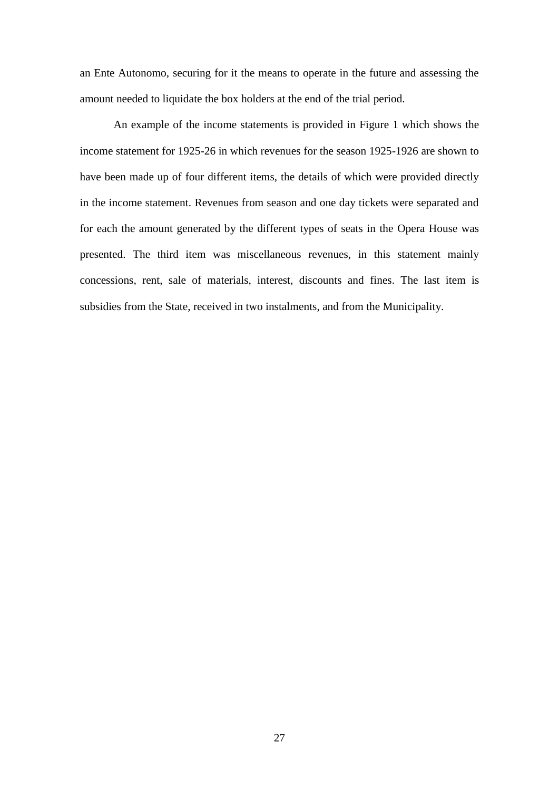an Ente Autonomo, securing for it the means to operate in the future and assessing the amount needed to liquidate the box holders at the end of the trial period.

An example of the income statements is provided in Figure 1 which shows the income statement for 1925-26 in which revenues for the season 1925-1926 are shown to have been made up of four different items, the details of which were provided directly in the income statement. Revenues from season and one day tickets were separated and for each the amount generated by the different types of seats in the Opera House was presented. The third item was miscellaneous revenues, in this statement mainly concessions, rent, sale of materials, interest, discounts and fines. The last item is subsidies from the State, received in two instalments, and from the Municipality.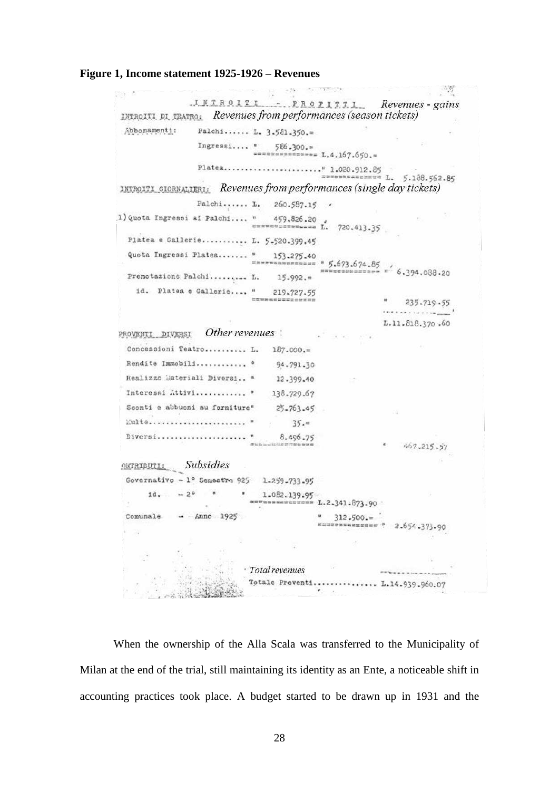#### **Figure 1, Income statement 1925-1926 – Revenues**

 $\frac{1}{2} \sum_{i=1}^{n} \frac{1}{2} \sum_{j=1}^{n} \frac{1}{2} \sum_{j=1}^{n} \frac{1}{2} \sum_{j=1}^{n} \frac{1}{2} \sum_{j=1}^{n} \frac{1}{2} \sum_{j=1}^{n} \frac{1}{2} \sum_{j=1}^{n} \frac{1}{2} \sum_{j=1}^{n} \frac{1}{2} \sum_{j=1}^{n} \frac{1}{2} \sum_{j=1}^{n} \frac{1}{2} \sum_{j=1}^{n} \frac{1}{2} \sum_{j=1}^{n} \frac{1}{2} \sum_{j=1}^{n$ INTROITI PROPITTI Revenues - gains IMTROITI DI TRATRO: Revenues from performances (season tickets) Abbonamenti: Palchi..... L.  $3.541.350.$ Ingressi.... " 586.300." L.4.167.650." \*\*\*\*\*\*\*\*\*\* L. 5.188.562.85 INTROITI GIORNALIERI: Revenues from performances (single day tickets) Palchi...... L. 260.587.15 . 1) Quota Ingressi ai Palchi.... " Platea e Gallerie.......... L. 5-520.399.45 Quota Ingressi Platea....... " 153.275.40  $\frac{5467340}{2000000000}$  = 5.673.674.85  $\frac{1}{2} \frac{1}{2} \frac{1}{2} \frac{1}{2} \frac{1}{2} \frac{1}{2} \frac{1}{2} \frac{1}{2} \frac{1}{2} \frac{1}{2} \frac{1}{2} \frac{1}{2} \frac{1}{2} \frac{1}{2} \frac{1}{2} \frac{1}{2} \frac{1}{2} \frac{1}{2} \frac{1}{2} \frac{1}{2} \frac{1}{2} \frac{1}{2} \frac{1}{2} \frac{1}{2} \frac{1}{2} \frac{1}{2} \frac{1}{2} \frac{1}{2} \frac{1}{2} \frac{1}{2} \frac{1}{2} \frac{$  $0.394.088.20$ Prenotazione Palchi......... L.  $15.992 =$ id. Platea e Gallerie.... " 219.727.55 **ESRaccion** 235.719.55 \* \* \* \* \* \* \* \* \* \* \* \* \* \* \* \* L.11.818.370.60 PROVENTI DIVERSI Other revenues Concessioni Teatro.......... L.  $187.000 =$ Rendite Immobili............ º 94,791.30 Realizzo Materiali Diversi.. " 12.399.40 Interessi Attivi............ " 138.729.67 Sconti e abbuoni su forniture"  $25 - 763 - 45$ Eulte........................  $35.4$ Diversi..................... " 8.496.75 **MALE-** and ALCO IN THE ROW R 467.215.57 **ORTRIDUTI:** Subsidies Governativo - 1º Semestre 925 1.259.733.95  $1d_{*} = 2^{6}$  $1 - 082.139.95$ 無料開信報業業務研究開発  $L.2.341.873.90$  $\sim$ Comunale  $\lambda$ nnc 1925  $312.500 =$ \*\*\*\*\*\*\*\*\*\* : 2.654.373.90 · Total revenues Totale Proventi............... L.14.939.960.07  $\mathcal{F}_{\alpha\beta}$  .  $\alpha$ 

When the ownership of the Alla Scala was transferred to the Municipality of Milan at the end of the trial, still maintaining its identity as an Ente, a noticeable shift in accounting practices took place. A budget started to be drawn up in 1931 and the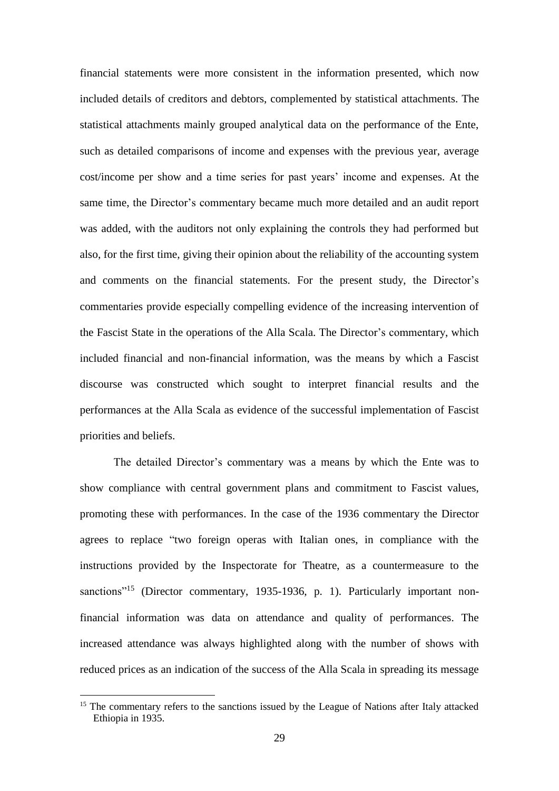financial statements were more consistent in the information presented, which now included details of creditors and debtors, complemented by statistical attachments. The statistical attachments mainly grouped analytical data on the performance of the Ente, such as detailed comparisons of income and expenses with the previous year, average cost/income per show and a time series for past years' income and expenses. At the same time, the Director's commentary became much more detailed and an audit report was added, with the auditors not only explaining the controls they had performed but also, for the first time, giving their opinion about the reliability of the accounting system and comments on the financial statements. For the present study, the Director's commentaries provide especially compelling evidence of the increasing intervention of the Fascist State in the operations of the Alla Scala. The Director's commentary, which included financial and non-financial information, was the means by which a Fascist discourse was constructed which sought to interpret financial results and the performances at the Alla Scala as evidence of the successful implementation of Fascist priorities and beliefs.

The detailed Director's commentary was a means by which the Ente was to show compliance with central government plans and commitment to Fascist values, promoting these with performances. In the case of the 1936 commentary the Director agrees to replace "two foreign operas with Italian ones, in compliance with the instructions provided by the Inspectorate for Theatre, as a countermeasure to the sanctions<sup>"15</sup> (Director commentary, 1935-1936, p. 1). Particularly important nonfinancial information was data on attendance and quality of performances. The increased attendance was always highlighted along with the number of shows with reduced prices as an indication of the success of the Alla Scala in spreading its message

<u>.</u>

<sup>&</sup>lt;sup>15</sup> The commentary refers to the sanctions issued by the League of Nations after Italy attacked Ethiopia in 1935.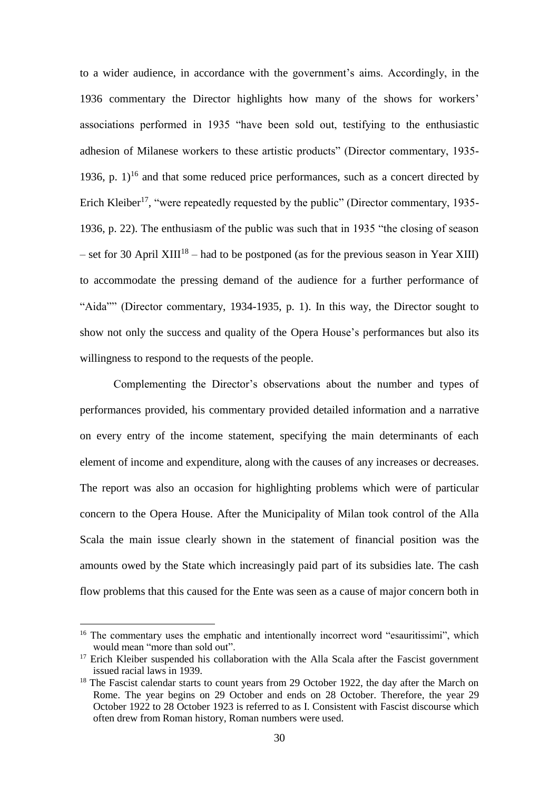to a wider audience, in accordance with the government's aims. Accordingly, in the 1936 commentary the Director highlights how many of the shows for workers' associations performed in 1935 "have been sold out, testifying to the enthusiastic adhesion of Milanese workers to these artistic products" (Director commentary, 1935- 1936, p.  $1$ <sup>16</sup> and that some reduced price performances, such as a concert directed by Erich Kleiber<sup>17</sup>, "were repeatedly requested by the public" (Director commentary, 1935-1936, p. 22). The enthusiasm of the public was such that in 1935 "the closing of season – set for 30 April XIII<sup>18</sup> – had to be postponed (as for the previous season in Year XIII) to accommodate the pressing demand of the audience for a further performance of "Aida"" (Director commentary, 1934-1935, p. 1). In this way, the Director sought to show not only the success and quality of the Opera House's performances but also its willingness to respond to the requests of the people.

Complementing the Director's observations about the number and types of performances provided, his commentary provided detailed information and a narrative on every entry of the income statement, specifying the main determinants of each element of income and expenditure, along with the causes of any increases or decreases. The report was also an occasion for highlighting problems which were of particular concern to the Opera House. After the Municipality of Milan took control of the Alla Scala the main issue clearly shown in the statement of financial position was the amounts owed by the State which increasingly paid part of its subsidies late. The cash flow problems that this caused for the Ente was seen as a cause of major concern both in

<u>.</u>

<sup>&</sup>lt;sup>16</sup> The commentary uses the emphatic and intentionally incorrect word "esauritissimi", which would mean "more than sold out".

<sup>&</sup>lt;sup>17</sup> Erich Kleiber suspended his collaboration with the Alla Scala after the Fascist government issued racial laws in 1939.

 $18$  The Fascist calendar starts to count years from 29 October 1922, the day after the March on Rome. The year begins on 29 October and ends on 28 October. Therefore, the year 29 October 1922 to 28 October 1923 is referred to as I. Consistent with Fascist discourse which often drew from Roman history, Roman numbers were used.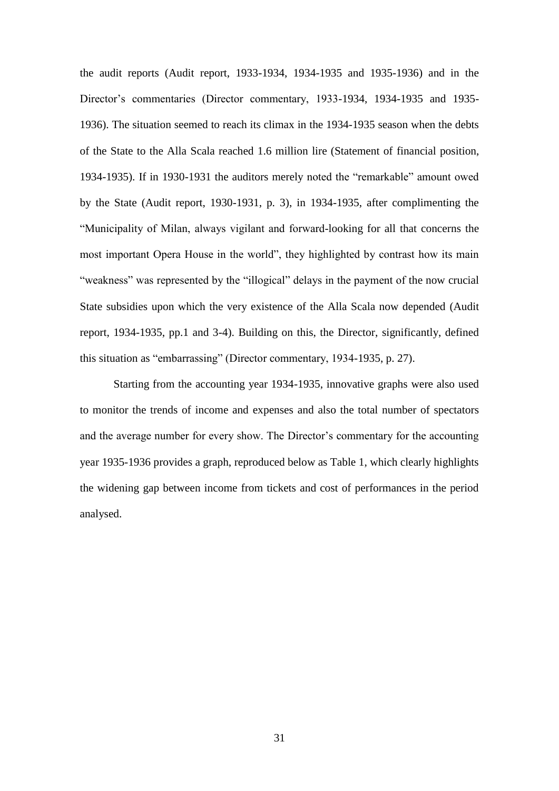the audit reports (Audit report, 1933-1934, 1934-1935 and 1935-1936) and in the Director's commentaries (Director commentary, 1933-1934, 1934-1935 and 1935- 1936). The situation seemed to reach its climax in the 1934-1935 season when the debts of the State to the Alla Scala reached 1.6 million lire (Statement of financial position, 1934-1935). If in 1930-1931 the auditors merely noted the "remarkable" amount owed by the State (Audit report, 1930-1931, p. 3), in 1934-1935, after complimenting the "Municipality of Milan, always vigilant and forward-looking for all that concerns the most important Opera House in the world", they highlighted by contrast how its main "weakness" was represented by the "illogical" delays in the payment of the now crucial State subsidies upon which the very existence of the Alla Scala now depended (Audit report, 1934-1935, pp.1 and 3-4). Building on this, the Director, significantly, defined this situation as "embarrassing" (Director commentary, 1934-1935, p. 27).

Starting from the accounting year 1934-1935, innovative graphs were also used to monitor the trends of income and expenses and also the total number of spectators and the average number for every show. The Director's commentary for the accounting year 1935-1936 provides a graph, reproduced below as Table 1, which clearly highlights the widening gap between income from tickets and cost of performances in the period analysed.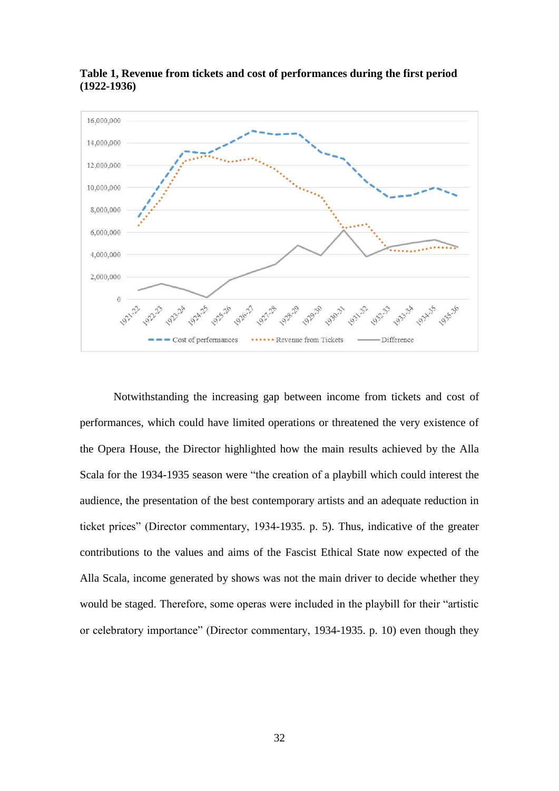

**Table 1, Revenue from tickets and cost of performances during the first period (1922-1936)** 

Notwithstanding the increasing gap between income from tickets and cost of performances, which could have limited operations or threatened the very existence of the Opera House, the Director highlighted how the main results achieved by the Alla Scala for the 1934-1935 season were "the creation of a playbill which could interest the audience, the presentation of the best contemporary artists and an adequate reduction in ticket prices" (Director commentary, 1934-1935. p. 5). Thus, indicative of the greater contributions to the values and aims of the Fascist Ethical State now expected of the Alla Scala, income generated by shows was not the main driver to decide whether they would be staged. Therefore, some operas were included in the playbill for their "artistic or celebratory importance" (Director commentary, 1934-1935. p. 10) even though they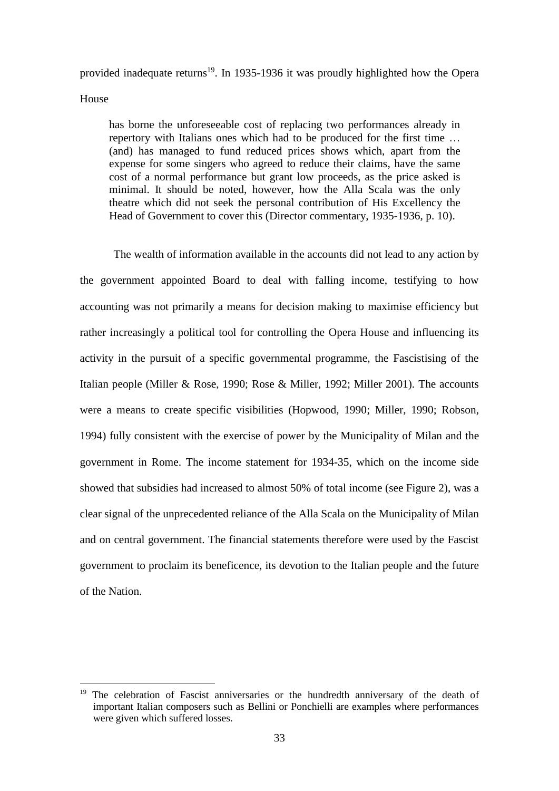provided inadequate returns<sup>19</sup>. In 1935-1936 it was proudly highlighted how the Opera House

has borne the unforeseeable cost of replacing two performances already in repertory with Italians ones which had to be produced for the first time … (and) has managed to fund reduced prices shows which, apart from the expense for some singers who agreed to reduce their claims, have the same cost of a normal performance but grant low proceeds, as the price asked is minimal. It should be noted, however, how the Alla Scala was the only theatre which did not seek the personal contribution of His Excellency the Head of Government to cover this (Director commentary, 1935-1936, p. 10).

The wealth of information available in the accounts did not lead to any action by the government appointed Board to deal with falling income, testifying to how accounting was not primarily a means for decision making to maximise efficiency but rather increasingly a political tool for controlling the Opera House and influencing its activity in the pursuit of a specific governmental programme, the Fascistising of the Italian people (Miller & Rose, 1990; Rose & Miller, 1992; Miller 2001). The accounts were a means to create specific visibilities (Hopwood, 1990; Miller, 1990; Robson, 1994) fully consistent with the exercise of power by the Municipality of Milan and the government in Rome. The income statement for 1934-35, which on the income side showed that subsidies had increased to almost 50% of total income (see Figure 2), was a clear signal of the unprecedented reliance of the Alla Scala on the Municipality of Milan and on central government. The financial statements therefore were used by the Fascist government to proclaim its beneficence, its devotion to the Italian people and the future of the Nation.

-

<sup>&</sup>lt;sup>19</sup> The celebration of Fascist anniversaries or the hundredth anniversary of the death of important Italian composers such as Bellini or Ponchielli are examples where performances were given which suffered losses.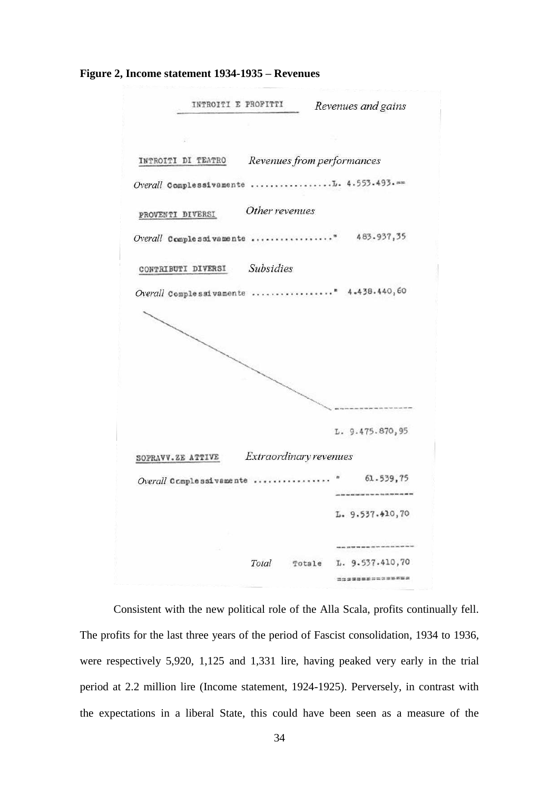**Figure 2, Income statement 1934-1935 – Revenues** 



Consistent with the new political role of the Alla Scala, profits continually fell. The profits for the last three years of the period of Fascist consolidation, 1934 to 1936, were respectively 5,920, 1,125 and 1,331 lire, having peaked very early in the trial period at 2.2 million lire (Income statement, 1924-1925). Perversely, in contrast with the expectations in a liberal State, this could have been seen as a measure of the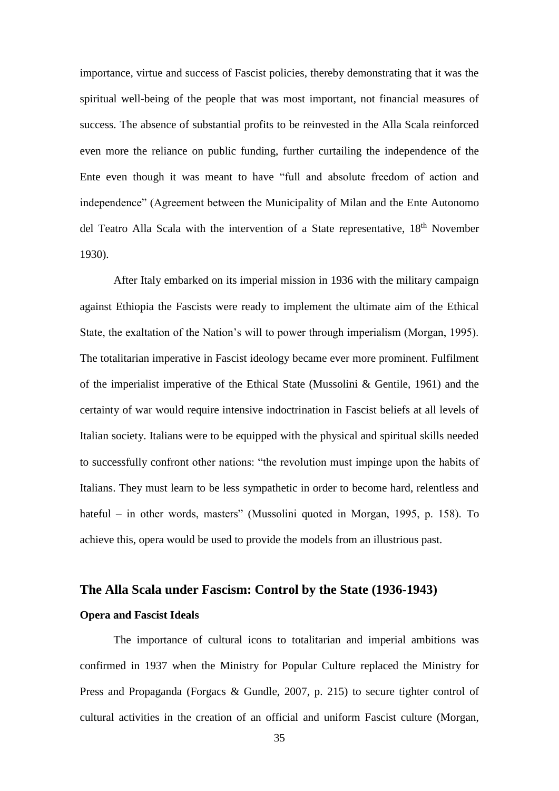importance, virtue and success of Fascist policies, thereby demonstrating that it was the spiritual well-being of the people that was most important, not financial measures of success. The absence of substantial profits to be reinvested in the Alla Scala reinforced even more the reliance on public funding, further curtailing the independence of the Ente even though it was meant to have "full and absolute freedom of action and independence" (Agreement between the Municipality of Milan and the Ente Autonomo del Teatro Alla Scala with the intervention of a State representative, 18<sup>th</sup> November 1930).

After Italy embarked on its imperial mission in 1936 with the military campaign against Ethiopia the Fascists were ready to implement the ultimate aim of the Ethical State, the exaltation of the Nation's will to power through imperialism (Morgan, 1995). The totalitarian imperative in Fascist ideology became ever more prominent. Fulfilment of the imperialist imperative of the Ethical State (Mussolini & Gentile, 1961) and the certainty of war would require intensive indoctrination in Fascist beliefs at all levels of Italian society. Italians were to be equipped with the physical and spiritual skills needed to successfully confront other nations: "the revolution must impinge upon the habits of Italians. They must learn to be less sympathetic in order to become hard, relentless and hateful – in other words, masters" (Mussolini quoted in Morgan, 1995, p. 158). To achieve this, opera would be used to provide the models from an illustrious past.

# **The Alla Scala under Fascism: Control by the State (1936-1943) Opera and Fascist Ideals**

The importance of cultural icons to totalitarian and imperial ambitions was confirmed in 1937 when the Ministry for Popular Culture replaced the Ministry for Press and Propaganda (Forgacs & Gundle, 2007, p. 215) to secure tighter control of cultural activities in the creation of an official and uniform Fascist culture (Morgan,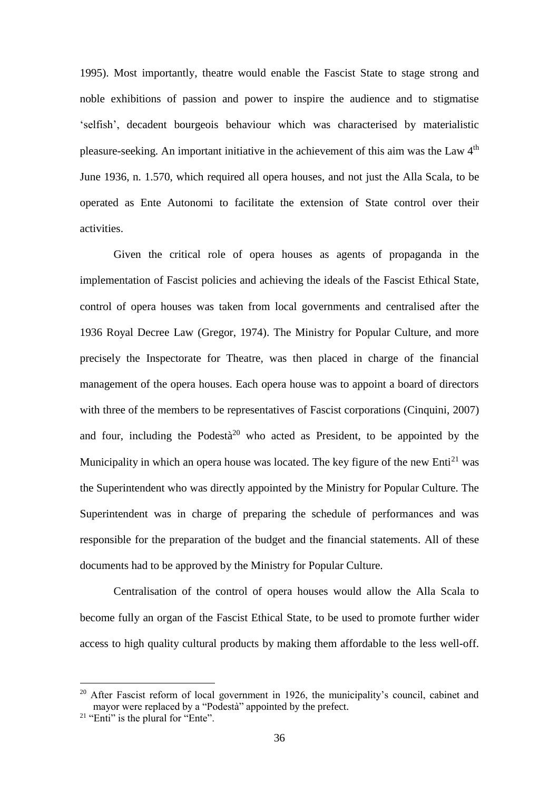1995). Most importantly, theatre would enable the Fascist State to stage strong and noble exhibitions of passion and power to inspire the audience and to stigmatise 'selfish', decadent bourgeois behaviour which was characterised by materialistic pleasure-seeking. An important initiative in the achievement of this aim was the Law 4<sup>th</sup> June 1936, n. 1.570, which required all opera houses, and not just the Alla Scala, to be operated as Ente Autonomi to facilitate the extension of State control over their activities.

Given the critical role of opera houses as agents of propaganda in the implementation of Fascist policies and achieving the ideals of the Fascist Ethical State, control of opera houses was taken from local governments and centralised after the 1936 Royal Decree Law (Gregor, 1974). The Ministry for Popular Culture, and more precisely the Inspectorate for Theatre, was then placed in charge of the financial management of the opera houses. Each opera house was to appoint a board of directors with three of the members to be representatives of Fascist corporations (Cinquini, 2007) and four, including the Podestà<sup>20</sup> who acted as President, to be appointed by the Municipality in which an opera house was located. The key figure of the new  $Enti^{21}$  was the Superintendent who was directly appointed by the Ministry for Popular Culture. The Superintendent was in charge of preparing the schedule of performances and was responsible for the preparation of the budget and the financial statements. All of these documents had to be approved by the Ministry for Popular Culture.

Centralisation of the control of opera houses would allow the Alla Scala to become fully an organ of the Fascist Ethical State, to be used to promote further wider access to high quality cultural products by making them affordable to the less well-off.

-

 $20$  After Fascist reform of local government in 1926, the municipality's council, cabinet and mayor were replaced by a "Podestà" appointed by the prefect.

 $21$  "Enti" is the plural for "Ente".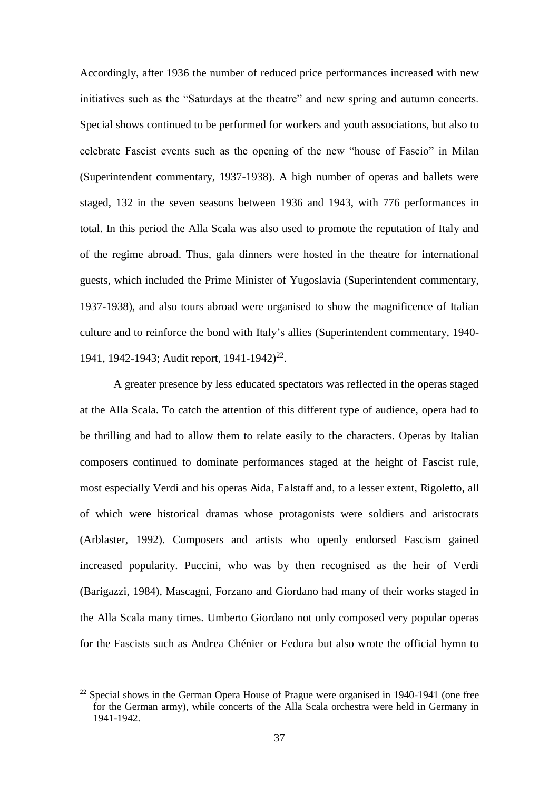Accordingly, after 1936 the number of reduced price performances increased with new initiatives such as the "Saturdays at the theatre" and new spring and autumn concerts. Special shows continued to be performed for workers and youth associations, but also to celebrate Fascist events such as the opening of the new "house of Fascio" in Milan (Superintendent commentary, 1937-1938). A high number of operas and ballets were staged, 132 in the seven seasons between 1936 and 1943, with 776 performances in total. In this period the Alla Scala was also used to promote the reputation of Italy and of the regime abroad. Thus, gala dinners were hosted in the theatre for international guests, which included the Prime Minister of Yugoslavia (Superintendent commentary, 1937-1938), and also tours abroad were organised to show the magnificence of Italian culture and to reinforce the bond with Italy's allies (Superintendent commentary, 1940- 1941, 1942-1943; Audit report, 1941-1942)<sup>22</sup>.

A greater presence by less educated spectators was reflected in the operas staged at the Alla Scala. To catch the attention of this different type of audience, opera had to be thrilling and had to allow them to relate easily to the characters. Operas by Italian composers continued to dominate performances staged at the height of Fascist rule, most especially Verdi and his operas Aida, Falstaff and, to a lesser extent, Rigoletto, all of which were historical dramas whose protagonists were soldiers and aristocrats (Arblaster, 1992). Composers and artists who openly endorsed Fascism gained increased popularity. Puccini, who was by then recognised as the heir of Verdi (Barigazzi, 1984), Mascagni, Forzano and Giordano had many of their works staged in the Alla Scala many times. Umberto Giordano not only composed very popular operas for the Fascists such as Andrea Chénier or Fedora but also wrote the official hymn to

-

 $22$  Special shows in the German Opera House of Prague were organised in 1940-1941 (one free for the German army), while concerts of the Alla Scala orchestra were held in Germany in 1941-1942.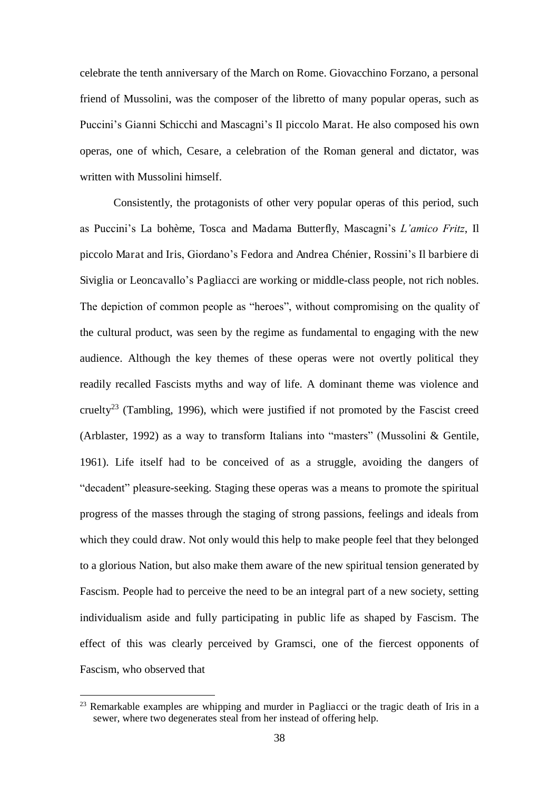celebrate the tenth anniversary of the March on Rome. Giovacchino Forzano, a personal friend of Mussolini, was the composer of the libretto of many popular operas, such as Puccini's Gianni Schicchi and Mascagni's Il piccolo Marat. He also composed his own operas, one of which, Cesare, a celebration of the Roman general and dictator, was written with Mussolini himself.

Consistently, the protagonists of other very popular operas of this period, such as Puccini's La bohème, Tosca and Madama Butterfly, Mascagni's *L'amico Fritz*, Il piccolo Marat and Iris, Giordano's Fedora and Andrea Chénier, Rossini's Il barbiere di Siviglia or Leoncavallo's Pagliacci are working or middle-class people, not rich nobles. The depiction of common people as "heroes", without compromising on the quality of the cultural product, was seen by the regime as fundamental to engaging with the new audience. Although the key themes of these operas were not overtly political they readily recalled Fascists myths and way of life. A dominant theme was violence and cruelty<sup>23</sup> (Tambling, 1996), which were justified if not promoted by the Fascist creed (Arblaster, 1992) as a way to transform Italians into "masters" (Mussolini & Gentile, 1961). Life itself had to be conceived of as a struggle, avoiding the dangers of "decadent" pleasure-seeking. Staging these operas was a means to promote the spiritual progress of the masses through the staging of strong passions, feelings and ideals from which they could draw. Not only would this help to make people feel that they belonged to a glorious Nation, but also make them aware of the new spiritual tension generated by Fascism. People had to perceive the need to be an integral part of a new society, setting individualism aside and fully participating in public life as shaped by Fascism. The effect of this was clearly perceived by Gramsci, one of the fiercest opponents of Fascism, who observed that

<u>.</u>

<sup>&</sup>lt;sup>23</sup> Remarkable examples are whipping and murder in Pagliacci or the tragic death of Iris in a sewer, where two degenerates steal from her instead of offering help.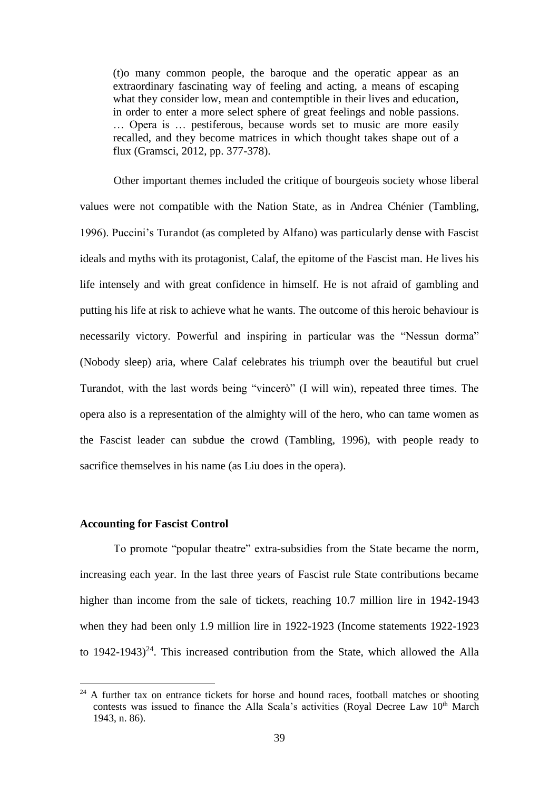(t)o many common people, the baroque and the operatic appear as an extraordinary fascinating way of feeling and acting, a means of escaping what they consider low, mean and contemptible in their lives and education, in order to enter a more select sphere of great feelings and noble passions. … Opera is … pestiferous, because words set to music are more easily recalled, and they become matrices in which thought takes shape out of a flux (Gramsci, 2012, pp. 377-378).

Other important themes included the critique of bourgeois society whose liberal values were not compatible with the Nation State, as in Andrea Chénier (Tambling, 1996). Puccini's Turandot (as completed by Alfano) was particularly dense with Fascist ideals and myths with its protagonist, Calaf, the epitome of the Fascist man. He lives his life intensely and with great confidence in himself. He is not afraid of gambling and putting his life at risk to achieve what he wants. The outcome of this heroic behaviour is necessarily victory. Powerful and inspiring in particular was the "Nessun dorma" (Nobody sleep) aria, where Calaf celebrates his triumph over the beautiful but cruel Turandot, with the last words being "vincerò" (I will win), repeated three times. The opera also is a representation of the almighty will of the hero, who can tame women as the Fascist leader can subdue the crowd (Tambling, 1996), with people ready to sacrifice themselves in his name (as Liu does in the opera).

#### **Accounting for Fascist Control**

-

To promote "popular theatre" extra-subsidies from the State became the norm, increasing each year. In the last three years of Fascist rule State contributions became higher than income from the sale of tickets, reaching 10.7 million lire in 1942-1943 when they had been only 1.9 million lire in 1922-1923 (Income statements 1922-1923 to  $1942-1943)^{24}$ . This increased contribution from the State, which allowed the Alla

 $24$  A further tax on entrance tickets for horse and hound races, football matches or shooting contests was issued to finance the Alla Scala's activities (Royal Decree Law  $10<sup>th</sup>$  March 1943, n. 86).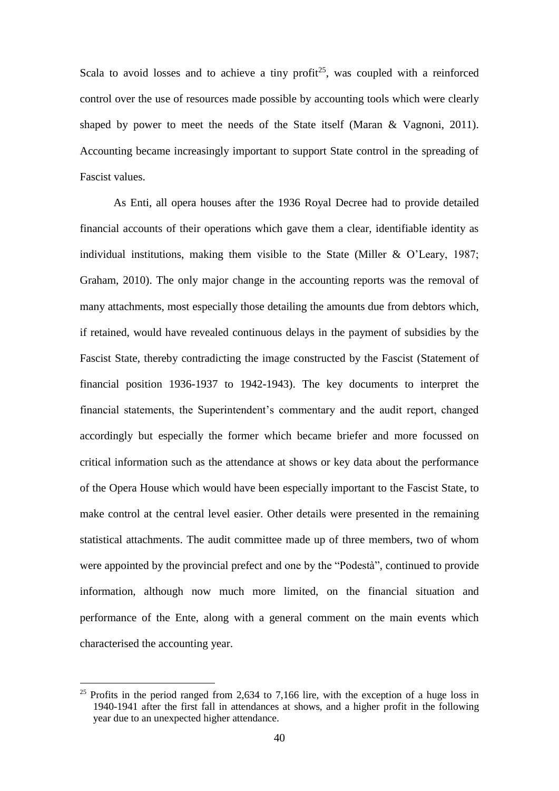Scala to avoid losses and to achieve a tiny profit<sup>25</sup>, was coupled with a reinforced control over the use of resources made possible by accounting tools which were clearly shaped by power to meet the needs of the State itself (Maran & Vagnoni, 2011). Accounting became increasingly important to support State control in the spreading of Fascist values.

As Enti, all opera houses after the 1936 Royal Decree had to provide detailed financial accounts of their operations which gave them a clear, identifiable identity as individual institutions, making them visible to the State (Miller & O'Leary, 1987; Graham, 2010). The only major change in the accounting reports was the removal of many attachments, most especially those detailing the amounts due from debtors which, if retained, would have revealed continuous delays in the payment of subsidies by the Fascist State, thereby contradicting the image constructed by the Fascist (Statement of financial position 1936-1937 to 1942-1943). The key documents to interpret the financial statements, the Superintendent's commentary and the audit report, changed accordingly but especially the former which became briefer and more focussed on critical information such as the attendance at shows or key data about the performance of the Opera House which would have been especially important to the Fascist State, to make control at the central level easier. Other details were presented in the remaining statistical attachments. The audit committee made up of three members, two of whom were appointed by the provincial prefect and one by the "Podestà", continued to provide information, although now much more limited, on the financial situation and performance of the Ente, along with a general comment on the main events which characterised the accounting year.

-

<sup>&</sup>lt;sup>25</sup> Profits in the period ranged from 2,634 to 7,166 lire, with the exception of a huge loss in 1940-1941 after the first fall in attendances at shows, and a higher profit in the following year due to an unexpected higher attendance.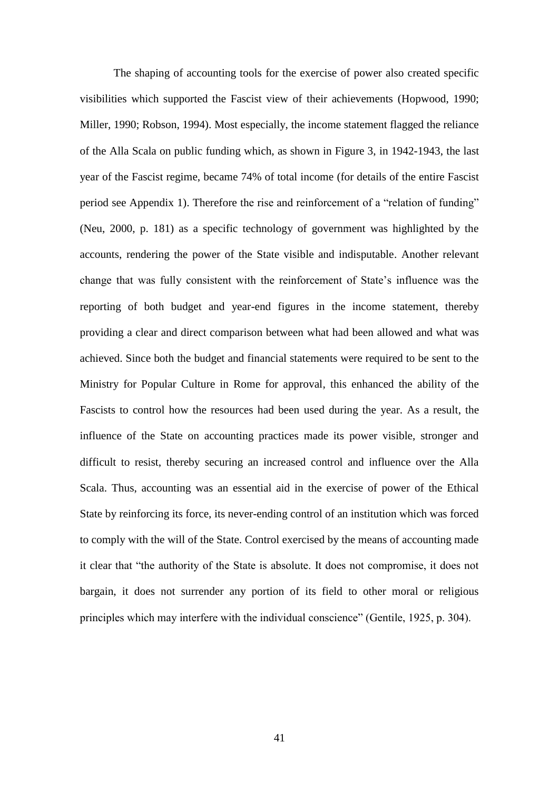The shaping of accounting tools for the exercise of power also created specific visibilities which supported the Fascist view of their achievements (Hopwood, 1990; Miller, 1990; Robson, 1994). Most especially, the income statement flagged the reliance of the Alla Scala on public funding which, as shown in Figure 3, in 1942-1943, the last year of the Fascist regime, became 74% of total income (for details of the entire Fascist period see Appendix 1). Therefore the rise and reinforcement of a "relation of funding" (Neu, 2000, p. 181) as a specific technology of government was highlighted by the accounts, rendering the power of the State visible and indisputable. Another relevant change that was fully consistent with the reinforcement of State's influence was the reporting of both budget and year-end figures in the income statement, thereby providing a clear and direct comparison between what had been allowed and what was achieved. Since both the budget and financial statements were required to be sent to the Ministry for Popular Culture in Rome for approval, this enhanced the ability of the Fascists to control how the resources had been used during the year. As a result, the influence of the State on accounting practices made its power visible, stronger and difficult to resist, thereby securing an increased control and influence over the Alla Scala. Thus, accounting was an essential aid in the exercise of power of the Ethical State by reinforcing its force, its never-ending control of an institution which was forced to comply with the will of the State. Control exercised by the means of accounting made it clear that "the authority of the State is absolute. It does not compromise, it does not bargain, it does not surrender any portion of its field to other moral or religious principles which may interfere with the individual conscience" (Gentile, 1925, p. 304).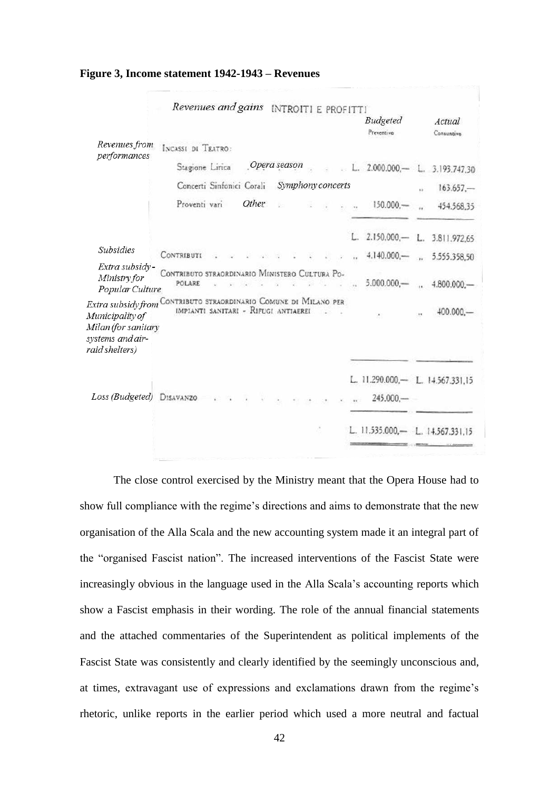|                                                                                                                                                  | Revenues and gains INTROITI E PROFITTI                   |       |              |  |              |                                               |                          |                      |
|--------------------------------------------------------------------------------------------------------------------------------------------------|----------------------------------------------------------|-------|--------------|--|--------------|-----------------------------------------------|--------------------------|----------------------|
|                                                                                                                                                  |                                                          |       |              |  |              | <b>Budgeted</b><br>Preventivo                 |                          | Actual<br>Consuntivo |
| Revenues from<br>performances                                                                                                                    | INCASSI DI TEATRO:                                       |       |              |  |              |                                               |                          |                      |
|                                                                                                                                                  | Stagione Lirica                                          |       | Opera season |  |              | L. $2.000.000$ ,-                             |                          | L. 3.193.747.30      |
|                                                                                                                                                  | Concerti Sinfonici Corali                                |       | $163.657 -$  |  |              |                                               |                          |                      |
|                                                                                                                                                  | Proventi vari                                            | Other |              |  | $\mathbf{X}$ | $150.000 -$                                   | $\overline{\mathcal{L}}$ | 454.568,35           |
|                                                                                                                                                  |                                                          |       |              |  |              | 2.150.000, L. 3.811.972.65                    |                          |                      |
| <b>Subsidies</b>                                                                                                                                 | <b>CONTRIBUTI</b>                                        |       |              |  |              | $4.140.000$ , $ -$ 5.555.358,50               |                          |                      |
| Extra subsidy-<br>Ministry for<br>Popular Culture                                                                                                | CONTRIBUTO STRAORDINARIO MINISTERO CULTURA PO-<br>POLARE |       |              |  |              | $5.000.000 -$ . $4.800.000 -$                 |                          |                      |
| Extra subsidy from Contributo straordinario Comune di Milano per<br>Municipality of<br>Milan (for sanitary<br>systems and air-<br>raid shelters) | IMPIANTI SANITARI - RIFUGI ANTIAEREI                     |       |              |  |              |                                               |                          | 400.000              |
| Loss (Budgeted) DISAVANZO                                                                                                                        |                                                          |       |              |  |              | L. 11.290.000,- L. 14.567.331.15<br>245.000,- |                          |                      |
|                                                                                                                                                  |                                                          |       |              |  |              | L. 11.535.000,- L. 14.567.331                 |                          |                      |

**Figure 3, Income statement 1942-1943 – Revenues** 

The close control exercised by the Ministry meant that the Opera House had to show full compliance with the regime's directions and aims to demonstrate that the new organisation of the Alla Scala and the new accounting system made it an integral part of the "organised Fascist nation". The increased interventions of the Fascist State were increasingly obvious in the language used in the Alla Scala's accounting reports which show a Fascist emphasis in their wording. The role of the annual financial statements and the attached commentaries of the Superintendent as political implements of the Fascist State was consistently and clearly identified by the seemingly unconscious and, at times, extravagant use of expressions and exclamations drawn from the regime's rhetoric, unlike reports in the earlier period which used a more neutral and factual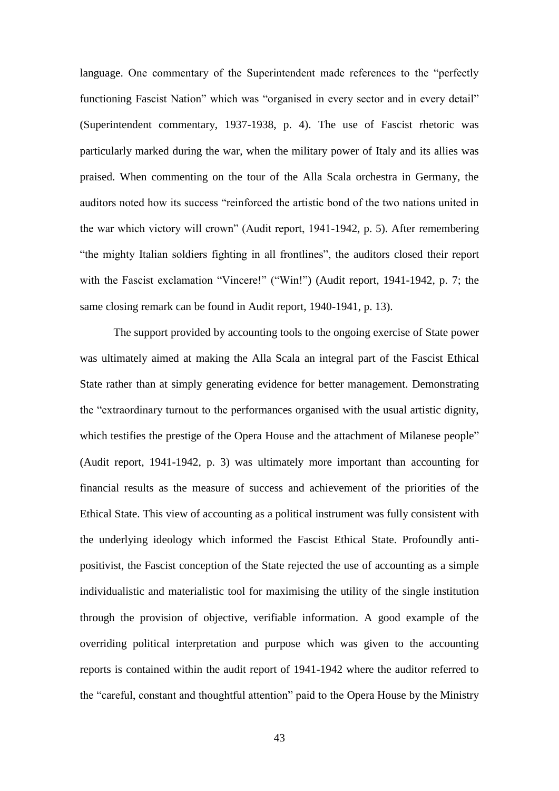language. One commentary of the Superintendent made references to the "perfectly functioning Fascist Nation" which was "organised in every sector and in every detail" (Superintendent commentary, 1937-1938, p. 4). The use of Fascist rhetoric was particularly marked during the war, when the military power of Italy and its allies was praised. When commenting on the tour of the Alla Scala orchestra in Germany, the auditors noted how its success "reinforced the artistic bond of the two nations united in the war which victory will crown" (Audit report, 1941-1942, p. 5). After remembering "the mighty Italian soldiers fighting in all frontlines", the auditors closed their report with the Fascist exclamation "Vincere!" ("Win!") (Audit report, 1941-1942, p. 7; the same closing remark can be found in Audit report, 1940-1941, p. 13).

The support provided by accounting tools to the ongoing exercise of State power was ultimately aimed at making the Alla Scala an integral part of the Fascist Ethical State rather than at simply generating evidence for better management. Demonstrating the "extraordinary turnout to the performances organised with the usual artistic dignity, which testifies the prestige of the Opera House and the attachment of Milanese people" (Audit report, 1941-1942, p. 3) was ultimately more important than accounting for financial results as the measure of success and achievement of the priorities of the Ethical State. This view of accounting as a political instrument was fully consistent with the underlying ideology which informed the Fascist Ethical State. Profoundly antipositivist, the Fascist conception of the State rejected the use of accounting as a simple individualistic and materialistic tool for maximising the utility of the single institution through the provision of objective, verifiable information. A good example of the overriding political interpretation and purpose which was given to the accounting reports is contained within the audit report of 1941-1942 where the auditor referred to the "careful, constant and thoughtful attention" paid to the Opera House by the Ministry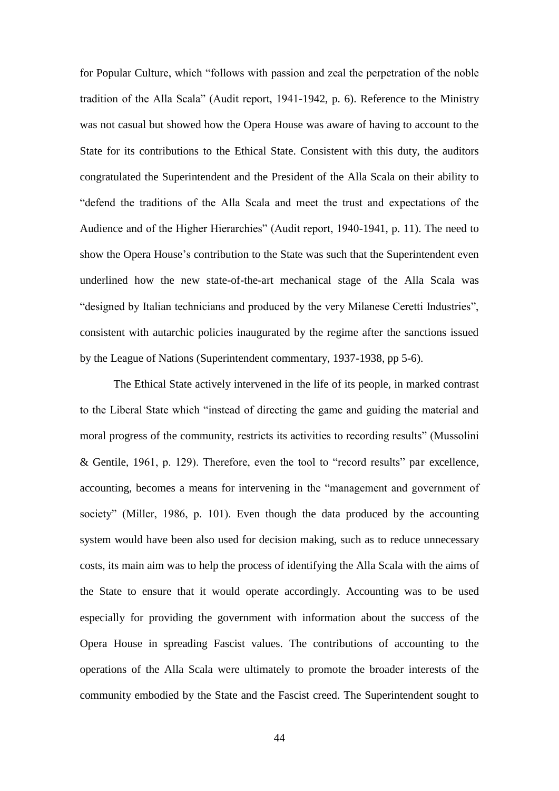for Popular Culture, which "follows with passion and zeal the perpetration of the noble tradition of the Alla Scala" (Audit report, 1941-1942, p. 6). Reference to the Ministry was not casual but showed how the Opera House was aware of having to account to the State for its contributions to the Ethical State. Consistent with this duty, the auditors congratulated the Superintendent and the President of the Alla Scala on their ability to "defend the traditions of the Alla Scala and meet the trust and expectations of the Audience and of the Higher Hierarchies" (Audit report, 1940-1941, p. 11). The need to show the Opera House's contribution to the State was such that the Superintendent even underlined how the new state-of-the-art mechanical stage of the Alla Scala was "designed by Italian technicians and produced by the very Milanese Ceretti Industries", consistent with autarchic policies inaugurated by the regime after the sanctions issued by the League of Nations (Superintendent commentary, 1937-1938, pp 5-6).

The Ethical State actively intervened in the life of its people, in marked contrast to the Liberal State which "instead of directing the game and guiding the material and moral progress of the community, restricts its activities to recording results" (Mussolini & Gentile, 1961, p. 129). Therefore, even the tool to "record results" par excellence, accounting, becomes a means for intervening in the "management and government of society" (Miller, 1986, p. 101). Even though the data produced by the accounting system would have been also used for decision making, such as to reduce unnecessary costs, its main aim was to help the process of identifying the Alla Scala with the aims of the State to ensure that it would operate accordingly. Accounting was to be used especially for providing the government with information about the success of the Opera House in spreading Fascist values. The contributions of accounting to the operations of the Alla Scala were ultimately to promote the broader interests of the community embodied by the State and the Fascist creed. The Superintendent sought to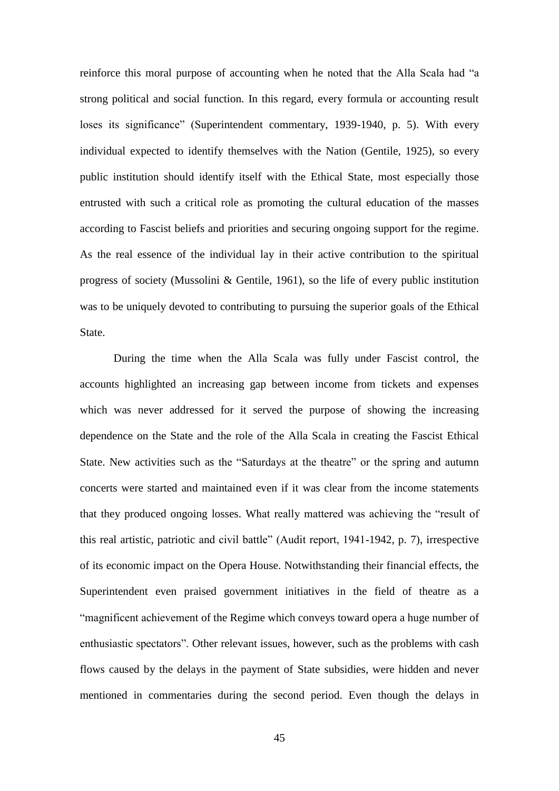reinforce this moral purpose of accounting when he noted that the Alla Scala had "a strong political and social function. In this regard, every formula or accounting result loses its significance" (Superintendent commentary, 1939-1940, p. 5). With every individual expected to identify themselves with the Nation (Gentile, 1925), so every public institution should identify itself with the Ethical State, most especially those entrusted with such a critical role as promoting the cultural education of the masses according to Fascist beliefs and priorities and securing ongoing support for the regime. As the real essence of the individual lay in their active contribution to the spiritual progress of society (Mussolini & Gentile, 1961), so the life of every public institution was to be uniquely devoted to contributing to pursuing the superior goals of the Ethical State.

During the time when the Alla Scala was fully under Fascist control, the accounts highlighted an increasing gap between income from tickets and expenses which was never addressed for it served the purpose of showing the increasing dependence on the State and the role of the Alla Scala in creating the Fascist Ethical State. New activities such as the "Saturdays at the theatre" or the spring and autumn concerts were started and maintained even if it was clear from the income statements that they produced ongoing losses. What really mattered was achieving the "result of this real artistic, patriotic and civil battle" (Audit report, 1941-1942, p. 7), irrespective of its economic impact on the Opera House. Notwithstanding their financial effects, the Superintendent even praised government initiatives in the field of theatre as a "magnificent achievement of the Regime which conveys toward opera a huge number of enthusiastic spectators". Other relevant issues, however, such as the problems with cash flows caused by the delays in the payment of State subsidies, were hidden and never mentioned in commentaries during the second period. Even though the delays in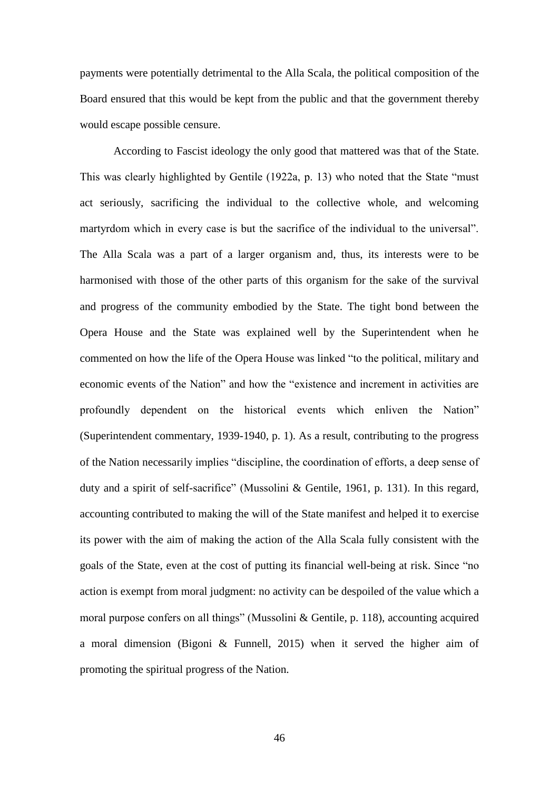payments were potentially detrimental to the Alla Scala, the political composition of the Board ensured that this would be kept from the public and that the government thereby would escape possible censure.

According to Fascist ideology the only good that mattered was that of the State. This was clearly highlighted by Gentile (1922a, p. 13) who noted that the State "must act seriously, sacrificing the individual to the collective whole, and welcoming martyrdom which in every case is but the sacrifice of the individual to the universal". The Alla Scala was a part of a larger organism and, thus, its interests were to be harmonised with those of the other parts of this organism for the sake of the survival and progress of the community embodied by the State. The tight bond between the Opera House and the State was explained well by the Superintendent when he commented on how the life of the Opera House was linked "to the political, military and economic events of the Nation" and how the "existence and increment in activities are profoundly dependent on the historical events which enliven the Nation" (Superintendent commentary, 1939-1940, p. 1). As a result, contributing to the progress of the Nation necessarily implies "discipline, the coordination of efforts, a deep sense of duty and a spirit of self-sacrifice" (Mussolini & Gentile, 1961, p. 131). In this regard, accounting contributed to making the will of the State manifest and helped it to exercise its power with the aim of making the action of the Alla Scala fully consistent with the goals of the State, even at the cost of putting its financial well-being at risk. Since "no action is exempt from moral judgment: no activity can be despoiled of the value which a moral purpose confers on all things" (Mussolini & Gentile, p. 118), accounting acquired a moral dimension (Bigoni & Funnell, 2015) when it served the higher aim of promoting the spiritual progress of the Nation.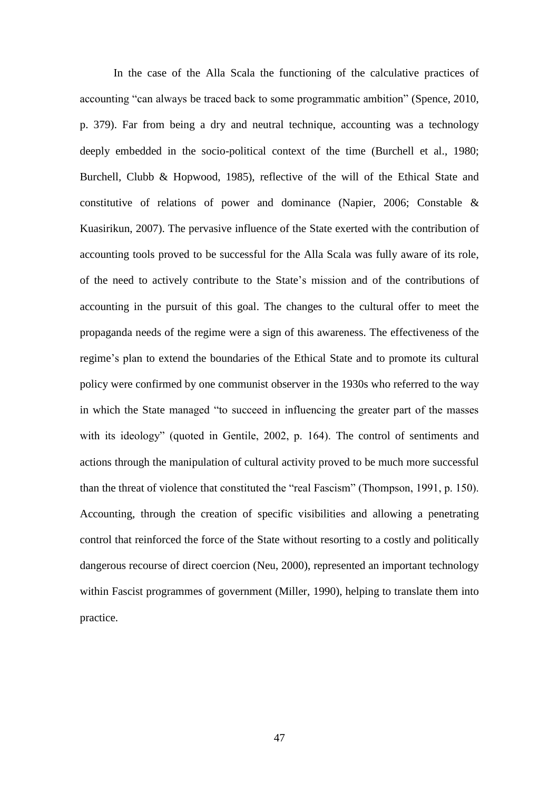In the case of the Alla Scala the functioning of the calculative practices of accounting "can always be traced back to some programmatic ambition" (Spence, 2010, p. 379). Far from being a dry and neutral technique, accounting was a technology deeply embedded in the socio-political context of the time (Burchell et al., 1980; Burchell, Clubb & Hopwood, 1985), reflective of the will of the Ethical State and constitutive of relations of power and dominance (Napier, 2006; Constable & Kuasirikun, 2007). The pervasive influence of the State exerted with the contribution of accounting tools proved to be successful for the Alla Scala was fully aware of its role, of the need to actively contribute to the State's mission and of the contributions of accounting in the pursuit of this goal. The changes to the cultural offer to meet the propaganda needs of the regime were a sign of this awareness. The effectiveness of the regime's plan to extend the boundaries of the Ethical State and to promote its cultural policy were confirmed by one communist observer in the 1930s who referred to the way in which the State managed "to succeed in influencing the greater part of the masses with its ideology" (quoted in Gentile, 2002, p. 164). The control of sentiments and actions through the manipulation of cultural activity proved to be much more successful than the threat of violence that constituted the "real Fascism" (Thompson, 1991, p. 150). Accounting, through the creation of specific visibilities and allowing a penetrating control that reinforced the force of the State without resorting to a costly and politically dangerous recourse of direct coercion (Neu, 2000), represented an important technology within Fascist programmes of government (Miller, 1990), helping to translate them into practice.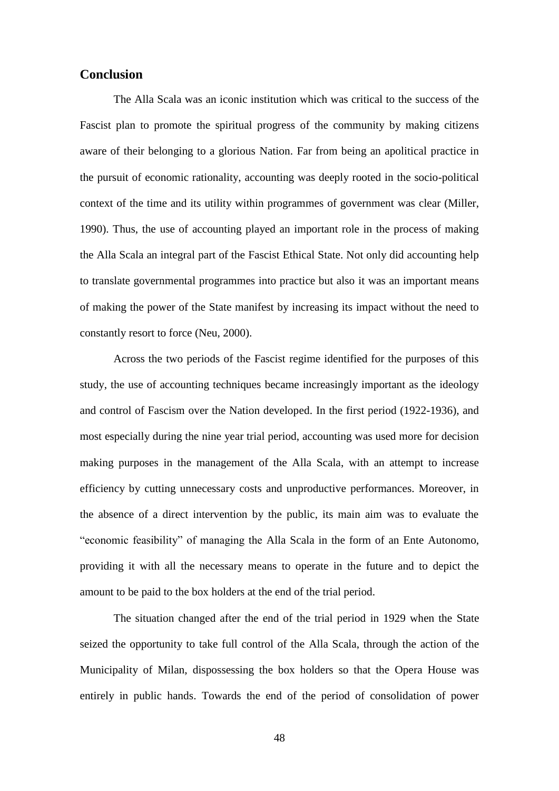# **Conclusion**

The Alla Scala was an iconic institution which was critical to the success of the Fascist plan to promote the spiritual progress of the community by making citizens aware of their belonging to a glorious Nation. Far from being an apolitical practice in the pursuit of economic rationality, accounting was deeply rooted in the socio-political context of the time and its utility within programmes of government was clear (Miller, 1990). Thus, the use of accounting played an important role in the process of making the Alla Scala an integral part of the Fascist Ethical State. Not only did accounting help to translate governmental programmes into practice but also it was an important means of making the power of the State manifest by increasing its impact without the need to constantly resort to force (Neu, 2000).

Across the two periods of the Fascist regime identified for the purposes of this study, the use of accounting techniques became increasingly important as the ideology and control of Fascism over the Nation developed. In the first period (1922-1936), and most especially during the nine year trial period, accounting was used more for decision making purposes in the management of the Alla Scala, with an attempt to increase efficiency by cutting unnecessary costs and unproductive performances. Moreover, in the absence of a direct intervention by the public, its main aim was to evaluate the "economic feasibility" of managing the Alla Scala in the form of an Ente Autonomo, providing it with all the necessary means to operate in the future and to depict the amount to be paid to the box holders at the end of the trial period.

The situation changed after the end of the trial period in 1929 when the State seized the opportunity to take full control of the Alla Scala, through the action of the Municipality of Milan, dispossessing the box holders so that the Opera House was entirely in public hands. Towards the end of the period of consolidation of power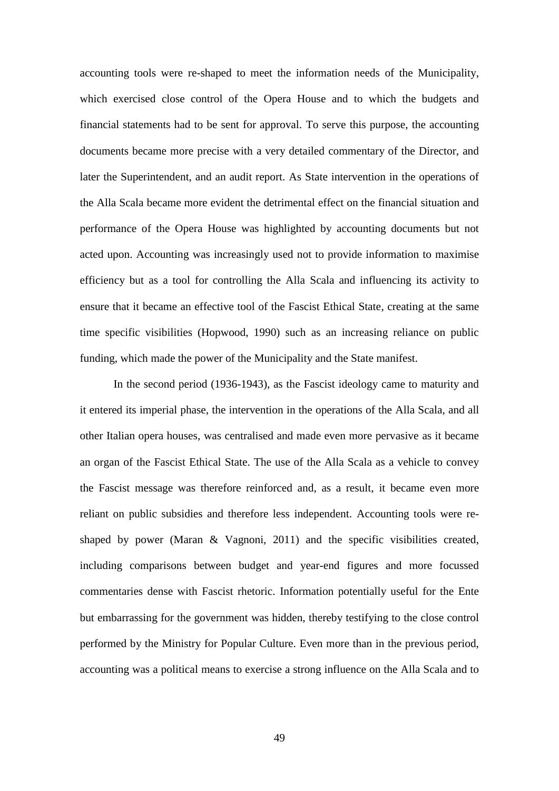accounting tools were re-shaped to meet the information needs of the Municipality, which exercised close control of the Opera House and to which the budgets and financial statements had to be sent for approval. To serve this purpose, the accounting documents became more precise with a very detailed commentary of the Director, and later the Superintendent, and an audit report. As State intervention in the operations of the Alla Scala became more evident the detrimental effect on the financial situation and performance of the Opera House was highlighted by accounting documents but not acted upon. Accounting was increasingly used not to provide information to maximise efficiency but as a tool for controlling the Alla Scala and influencing its activity to ensure that it became an effective tool of the Fascist Ethical State, creating at the same time specific visibilities (Hopwood, 1990) such as an increasing reliance on public funding, which made the power of the Municipality and the State manifest.

In the second period (1936-1943), as the Fascist ideology came to maturity and it entered its imperial phase, the intervention in the operations of the Alla Scala, and all other Italian opera houses, was centralised and made even more pervasive as it became an organ of the Fascist Ethical State. The use of the Alla Scala as a vehicle to convey the Fascist message was therefore reinforced and, as a result, it became even more reliant on public subsidies and therefore less independent. Accounting tools were reshaped by power (Maran & Vagnoni, 2011) and the specific visibilities created, including comparisons between budget and year-end figures and more focussed commentaries dense with Fascist rhetoric. Information potentially useful for the Ente but embarrassing for the government was hidden, thereby testifying to the close control performed by the Ministry for Popular Culture. Even more than in the previous period, accounting was a political means to exercise a strong influence on the Alla Scala and to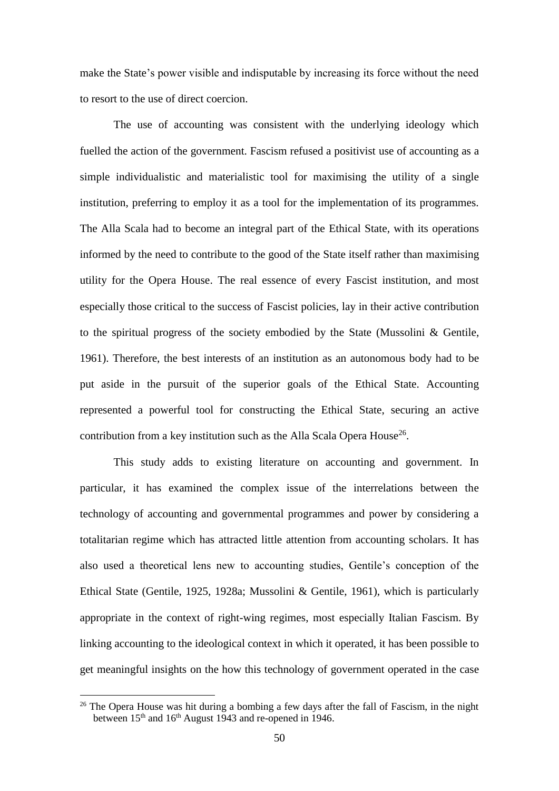make the State's power visible and indisputable by increasing its force without the need to resort to the use of direct coercion.

The use of accounting was consistent with the underlying ideology which fuelled the action of the government. Fascism refused a positivist use of accounting as a simple individualistic and materialistic tool for maximising the utility of a single institution, preferring to employ it as a tool for the implementation of its programmes. The Alla Scala had to become an integral part of the Ethical State, with its operations informed by the need to contribute to the good of the State itself rather than maximising utility for the Opera House. The real essence of every Fascist institution, and most especially those critical to the success of Fascist policies, lay in their active contribution to the spiritual progress of the society embodied by the State (Mussolini & Gentile, 1961). Therefore, the best interests of an institution as an autonomous body had to be put aside in the pursuit of the superior goals of the Ethical State. Accounting represented a powerful tool for constructing the Ethical State, securing an active contribution from a key institution such as the Alla Scala Opera House<sup>26</sup>.

This study adds to existing literature on accounting and government. In particular, it has examined the complex issue of the interrelations between the technology of accounting and governmental programmes and power by considering a totalitarian regime which has attracted little attention from accounting scholars. It has also used a theoretical lens new to accounting studies, Gentile's conception of the Ethical State (Gentile, 1925, 1928a; Mussolini & Gentile, 1961), which is particularly appropriate in the context of right-wing regimes, most especially Italian Fascism. By linking accounting to the ideological context in which it operated, it has been possible to get meaningful insights on the how this technology of government operated in the case

<u>.</u>

 $26$  The Opera House was hit during a bombing a few days after the fall of Fascism, in the night between 15<sup>th</sup> and 16<sup>th</sup> August 1943 and re-opened in 1946.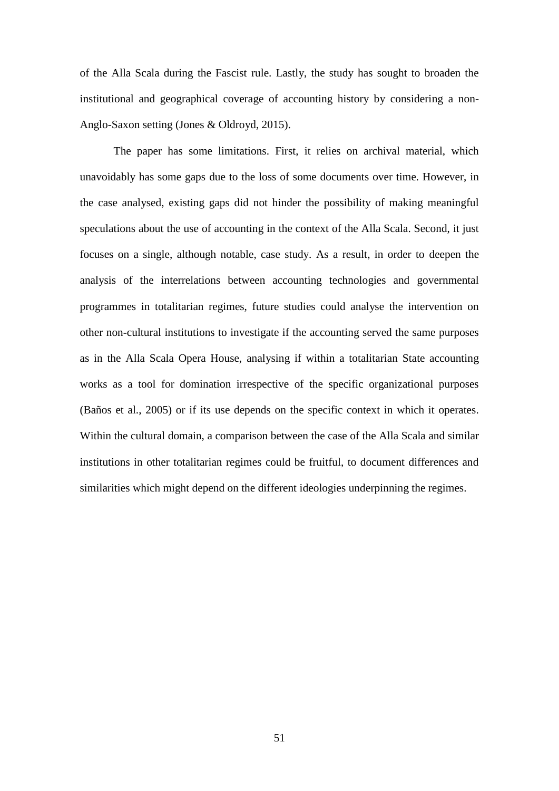of the Alla Scala during the Fascist rule. Lastly, the study has sought to broaden the institutional and geographical coverage of accounting history by considering a non-Anglo-Saxon setting (Jones & Oldroyd, 2015).

The paper has some limitations. First, it relies on archival material, which unavoidably has some gaps due to the loss of some documents over time. However, in the case analysed, existing gaps did not hinder the possibility of making meaningful speculations about the use of accounting in the context of the Alla Scala. Second, it just focuses on a single, although notable, case study. As a result, in order to deepen the analysis of the interrelations between accounting technologies and governmental programmes in totalitarian regimes, future studies could analyse the intervention on other non-cultural institutions to investigate if the accounting served the same purposes as in the Alla Scala Opera House, analysing if within a totalitarian State accounting works as a tool for domination irrespective of the specific organizational purposes (Baños et al., 2005) or if its use depends on the specific context in which it operates. Within the cultural domain, a comparison between the case of the Alla Scala and similar institutions in other totalitarian regimes could be fruitful, to document differences and similarities which might depend on the different ideologies underpinning the regimes.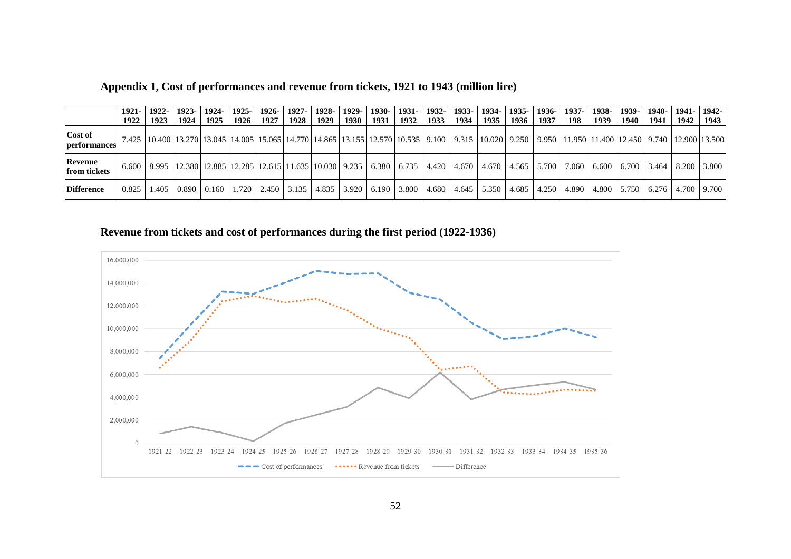|                                | $1921 - 1$ | 1922-           | $1923 - 1$                                                                                                                          | 1924- | $1925 -$ |      | $1926 - 1927 - 1$ | $1928 -$ | 1929- |             |      |      | 1930-   1931-   1932-   1933-   1934-   1935-                    |        | 1936- | 1937-                                                                                                                                                                                         | $1938 -$ | 1939-l            |                   | 1940-11941- | $1942 -$ |
|--------------------------------|------------|-----------------|-------------------------------------------------------------------------------------------------------------------------------------|-------|----------|------|-------------------|----------|-------|-------------|------|------|------------------------------------------------------------------|--------|-------|-----------------------------------------------------------------------------------------------------------------------------------------------------------------------------------------------|----------|-------------------|-------------------|-------------|----------|
|                                | 1922       | 1923            | 1924                                                                                                                                | 1925  | 1926 l   | 1927 | 1928              | 1929     | 1930  | 1931   1932 | 1933 | 1934 | 1935 l                                                           | 1936 l | 1937  | 198                                                                                                                                                                                           | 1939     | 1940 l            | 1941              | 1942        | 1943     |
| Cost of<br><b>performances</b> |            |                 |                                                                                                                                     |       |          |      |                   |          |       |             |      |      |                                                                  |        |       | 7.425   10.400   13.270   13.045   14.005   15.065   14.770   14.865   13.155   12.570   10.535   9.100   9.315   10.020   9.250   9.950   11.950   11.400   12.450   9.740   12.900   13.500 |          |                   |                   |             |          |
| Revenue<br><b>from tickets</b> |            |                 | 6.600   8.995   12.380   12.885   12.285   12.615   11.635   10.030   9.235   6.380   6.735   4.420   4.670   4.670   4.565   5.700 |       |          |      |                   |          |       |             |      |      |                                                                  |        |       | 7.060 l                                                                                                                                                                                       |          | $6.600 \pm 6.700$ | $3.464 \pm 8.200$ |             | 3.800    |
| <b>Difference</b>              |            | $0.825$   1.405 | 0.890   0.160   1.720   2.450   3.135   4.835   3.920                                                                               |       |          |      |                   |          |       |             |      |      | $(6.190 \mid 3.800 \mid 4.680 \mid 4.645 \mid 5.350 \mid 4.685)$ |        |       | 4.250   4.890   4.800   5.750   6.276   4.700   9.700                                                                                                                                         |          |                   |                   |             |          |

## **Appendix 1, Cost of performances and revenue from tickets, 1921 to 1943 (million lire)**

# **Revenue from tickets and cost of performances during the first period (1922-1936)**

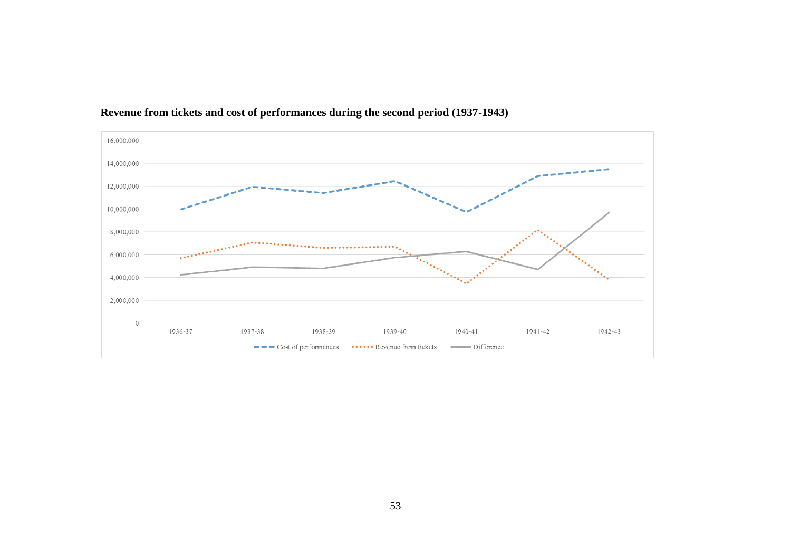

# **Revenue from tickets and cost of performances during the second period (1937-1943)**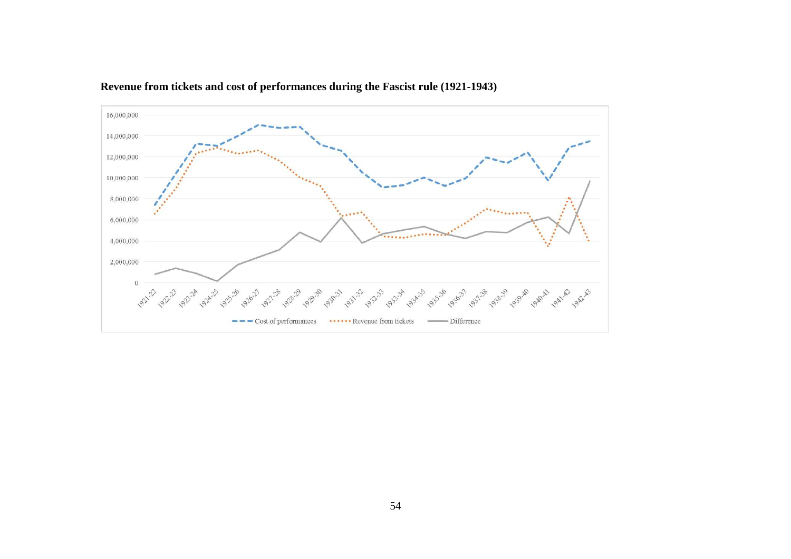

# **Revenue from tickets and cost of performances during the Fascist rule (1921-1943)**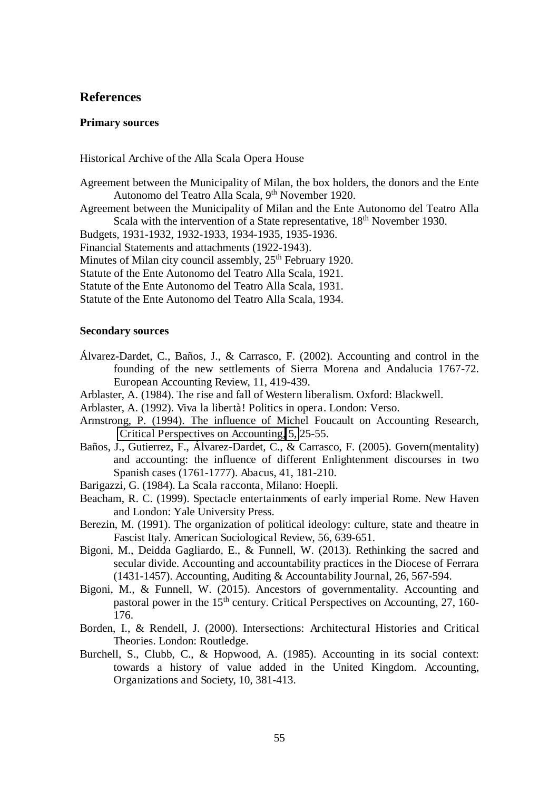## **References**

#### **Primary sources**

Historical Archive of the Alla Scala Opera House

- Agreement between the Municipality of Milan, the box holders, the donors and the Ente Autonomo del Teatro Alla Scala, 9<sup>th</sup> November 1920.
- Agreement between the Municipality of Milan and the Ente Autonomo del Teatro Alla Scala with the intervention of a State representative, 18<sup>th</sup> November 1930.
- Budgets, 1931-1932, 1932-1933, 1934-1935, 1935-1936.
- Financial Statements and attachments (1922-1943).
- Minutes of Milan city council assembly,  $25<sup>th</sup>$  February 1920.
- Statute of the Ente Autonomo del Teatro Alla Scala, 1921.
- Statute of the Ente Autonomo del Teatro Alla Scala, 1931.
- Statute of the Ente Autonomo del Teatro Alla Scala, 1934.

#### **Secondary sources**

- Álvarez-Dardet, C., Baños, J., & Carrasco, F. (2002). Accounting and control in the founding of the new settlements of Sierra Morena and Andalucia 1767-72. European Accounting Review, 11, 419-439.
- Arblaster, A. (1984). The rise and fall of Western liberalism. Oxford: Blackwell.
- Arblaster, A. (1992). Viva la libertà! Politics in opera. London: Verso.
- Armstrong, P. (1994). The influence of Michel Foucault on Accounting Research, [Critical Perspectives on Accounting,](http://www.sciencedirect.com/science/journal/10452354) [5,](http://www.sciencedirect.com/science/journal/10452354/5/1) 25-55.
- Baños, J., Gutierrez, F., Álvarez-Dardet, C., & Carrasco, F. (2005). Govern(mentality) and accounting: the influence of different Enlightenment discourses in two Spanish cases (1761-1777). Abacus, 41, 181-210.
- Barigazzi, G. (1984). La Scala racconta, Milano: Hoepli.
- Beacham, R. C. (1999). Spectacle entertainments of early imperial Rome. New Haven and London: Yale University Press.
- Berezin, M. (1991). The organization of political ideology: culture, state and theatre in Fascist Italy. American Sociological Review, 56, 639-651.
- Bigoni, M., Deidda Gagliardo, E., & Funnell, W. (2013). Rethinking the sacred and secular divide. Accounting and accountability practices in the Diocese of Ferrara (1431-1457). Accounting, Auditing & Accountability Journal, 26, 567-594.
- Bigoni, M., & Funnell, W. (2015). Ancestors of governmentality. Accounting and pastoral power in the  $15<sup>th</sup>$  century. Critical Perspectives on Accounting, 27, 160-176.
- Borden, I., & Rendell, J. (2000). Intersections: Architectural Histories and Critical Theories. London: Routledge.
- Burchell, S., Clubb, C., & Hopwood, A. (1985). Accounting in its social context: towards a history of value added in the United Kingdom. Accounting, Organizations and Society, 10, 381-413.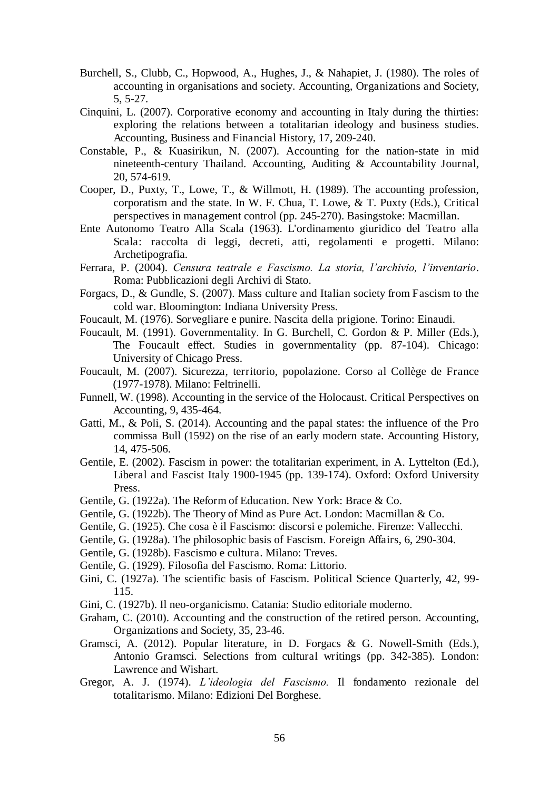- Burchell, S., Clubb, C., Hopwood, A., Hughes, J., & Nahapiet, J. (1980). The roles of accounting in organisations and society. Accounting, Organizations and Society, 5, 5-27.
- Cinquini, L. (2007). Corporative economy and accounting in Italy during the thirties: exploring the relations between a totalitarian ideology and business studies. Accounting, Business and Financial History, 17, 209-240.
- Constable, P., & Kuasirikun, N. (2007). Accounting for the nation-state in mid nineteenth-century Thailand. Accounting, Auditing & Accountability Journal, 20, 574-619.
- Cooper, D., Puxty, T., Lowe, T., & Willmott, H. (1989). The accounting profession, corporatism and the state. In W. F. Chua, T. Lowe, & T. Puxty (Eds.), Critical perspectives in management control (pp. 245-270). Basingstoke: Macmillan.
- Ente Autonomo Teatro Alla Scala (1963). L'ordinamento giuridico del Teatro alla Scala: raccolta di leggi, decreti, atti, regolamenti e progetti. Milano: Archetipografia.
- Ferrara, P. (2004). *Censura teatrale e Fascismo. La storia, l'archivio, l'inventario*. Roma: Pubblicazioni degli Archivi di Stato.
- Forgacs, D., & Gundle, S. (2007). Mass culture and Italian society from Fascism to the cold war. Bloomington: Indiana University Press.
- Foucault, M. (1976). Sorvegliare e punire. Nascita della prigione. Torino: Einaudi.
- Foucault, M. (1991). Governmentality. In G. Burchell, C. Gordon & P. Miller (Eds.), The Foucault effect. Studies in governmentality (pp. 87-104). Chicago: University of Chicago Press.
- Foucault, M. (2007). Sicurezza, territorio, popolazione. Corso al Collège de France (1977-1978). Milano: Feltrinelli.
- Funnell, W. (1998). Accounting in the service of the Holocaust. Critical Perspectives on Accounting, 9, 435-464.
- Gatti, M., & Poli, S. (2014). Accounting and the papal states: the influence of the Pro commissa Bull (1592) on the rise of an early modern state. Accounting History, 14, 475-506.
- Gentile, E. (2002). Fascism in power: the totalitarian experiment, in A. Lyttelton (Ed.), Liberal and Fascist Italy 1900-1945 (pp. 139-174). Oxford: Oxford University Press.
- Gentile, G. (1922a). The Reform of Education. New York: Brace & Co.
- Gentile, G. (1922b). The Theory of Mind as Pure Act. London: Macmillan & Co.
- Gentile, G. (1925). Che cosa è il Fascismo: discorsi e polemiche. Firenze: Vallecchi.
- Gentile, G. (1928a). The philosophic basis of Fascism. Foreign Affairs, 6, 290-304.
- Gentile, G. (1928b). Fascismo e cultura. Milano: Treves.
- Gentile, G. (1929). Filosofia del Fascismo. Roma: Littorio.
- Gini, C. (1927a). The scientific basis of Fascism. Political Science Quarterly, 42, 99- 115.
- Gini, C. (1927b). Il neo-organicismo. Catania: Studio editoriale moderno.
- Graham, C. (2010). Accounting and the construction of the retired person. Accounting, Organizations and Society, 35, 23-46.
- Gramsci, A. (2012). Popular literature, in D. Forgacs & G. Nowell-Smith (Eds.), Antonio Gramsci. Selections from cultural writings (pp. 342-385). London: Lawrence and Wishart.
- Gregor, A. J. (1974). *L'ideologia del Fascismo.* Il fondamento rezionale del totalitarismo. Milano: Edizioni Del Borghese.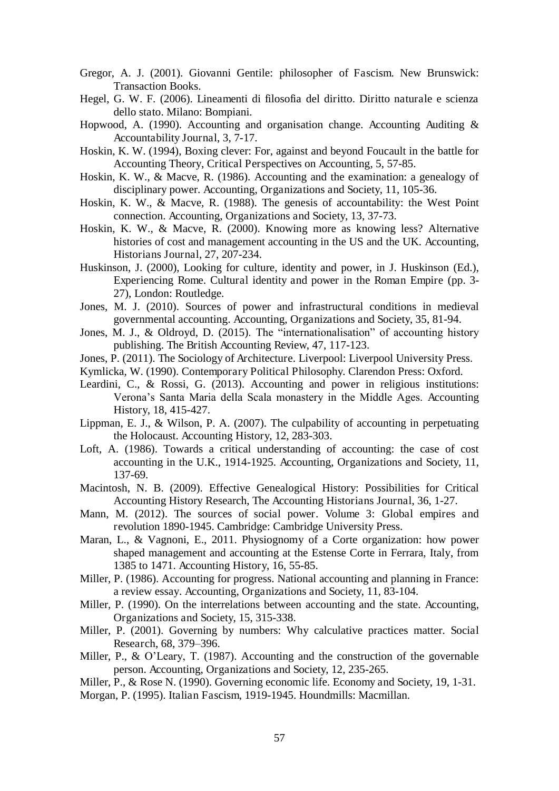- Gregor, A. J. (2001). Giovanni Gentile: philosopher of Fascism. New Brunswick: Transaction Books.
- Hegel, G. W. F. (2006). Lineamenti di filosofia del diritto. Diritto naturale e scienza dello stato. Milano: Bompiani.
- Hopwood, A. (1990). Accounting and organisation change. Accounting Auditing & Accountability Journal, 3, 7-17.
- Hoskin, K. W. (1994), Boxing clever: For, against and beyond Foucault in the battle for Accounting Theory, Critical Perspectives on Accounting, 5, 57-85.
- Hoskin, K. W., & Macve, R. (1986). Accounting and the examination: a genealogy of disciplinary power. Accounting, Organizations and Society, 11, 105-36.
- Hoskin, K. W., & Macve, R. (1988). The genesis of accountability: the West Point connection. Accounting, Organizations and Society, 13, 37-73.
- Hoskin, K. W., & Macve, R. (2000). Knowing more as knowing less? Alternative histories of cost and management accounting in the US and the UK. Accounting, Historians Journal, 27, 207-234.
- Huskinson, J. (2000), Looking for culture, identity and power, in J. Huskinson (Ed.), Experiencing Rome. Cultural identity and power in the Roman Empire (pp. 3- 27), London: Routledge.
- Jones, M. J. (2010). Sources of power and infrastructural conditions in medieval governmental accounting. Accounting, Organizations and Society, 35, 81-94.
- Jones, M. J., & Oldroyd, D. (2015). The "internationalisation" of accounting history publishing. The British Accounting Review, 47, 117-123.
- Jones, P. (2011). The Sociology of Architecture. Liverpool: Liverpool University Press.
- Kymlicka, W. (1990). Contemporary Political Philosophy. Clarendon Press: Oxford.
- Leardini, C., & Rossi, G. (2013). Accounting and power in religious institutions: Verona's Santa Maria della Scala monastery in the Middle Ages. Accounting History, 18, 415-427.
- Lippman, E. J., & Wilson, P. A. (2007). The culpability of accounting in perpetuating the Holocaust. Accounting History, 12, 283-303.
- Loft, A. (1986). Towards a critical understanding of accounting: the case of cost accounting in the U.K., 1914-1925. Accounting, Organizations and Society, 11, 137-69.
- Macintosh, N. B. (2009). Effective Genealogical History: Possibilities for Critical Accounting History Research, The Accounting Historians Journal, 36, 1-27.
- Mann, M. (2012). The sources of social power. Volume 3: Global empires and revolution 1890-1945. Cambridge: Cambridge University Press.
- Maran, L., & Vagnoni, E., 2011. Physiognomy of a Corte organization: how power shaped management and accounting at the Estense Corte in Ferrara, Italy, from 1385 to 1471. Accounting History, 16, 55-85.
- Miller, P. (1986). Accounting for progress. National accounting and planning in France: a review essay. Accounting, Organizations and Society, 11, 83-104.
- Miller, P. (1990). On the interrelations between accounting and the state. Accounting, Organizations and Society, 15, 315-338.
- Miller, P. (2001). Governing by numbers: Why calculative practices matter. Social Research, 68, 379–396.
- Miller, P., & O'Leary, T. (1987). Accounting and the construction of the governable person. Accounting, Organizations and Society, 12, 235-265.
- Miller, P., & Rose N. (1990). Governing economic life. Economy and Society, 19, 1-31.
- Morgan, P. (1995). Italian Fascism, 1919-1945. Houndmills: Macmillan.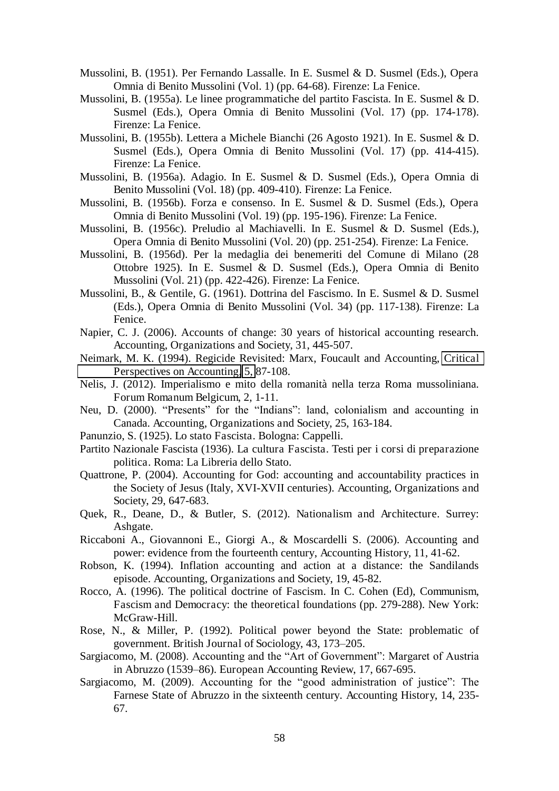- Mussolini, B. (1951). Per Fernando Lassalle. In E. Susmel & D. Susmel (Eds.), Opera Omnia di Benito Mussolini (Vol. 1) (pp. 64-68). Firenze: La Fenice.
- Mussolini, B. (1955a). Le linee programmatiche del partito Fascista. In E. Susmel & D. Susmel (Eds.), Opera Omnia di Benito Mussolini (Vol. 17) (pp. 174-178). Firenze: La Fenice.
- Mussolini, B. (1955b). Lettera a Michele Bianchi (26 Agosto 1921). In E. Susmel & D. Susmel (Eds.), Opera Omnia di Benito Mussolini (Vol. 17) (pp. 414-415). Firenze: La Fenice.
- Mussolini, B. (1956a). Adagio. In E. Susmel & D. Susmel (Eds.), Opera Omnia di Benito Mussolini (Vol. 18) (pp. 409-410). Firenze: La Fenice.
- Mussolini, B. (1956b). Forza e consenso. In E. Susmel & D. Susmel (Eds.), Opera Omnia di Benito Mussolini (Vol. 19) (pp. 195-196). Firenze: La Fenice.
- Mussolini, B. (1956c). Preludio al Machiavelli. In E. Susmel & D. Susmel (Eds.), Opera Omnia di Benito Mussolini (Vol. 20) (pp. 251-254). Firenze: La Fenice.
- Mussolini, B. (1956d). Per la medaglia dei benemeriti del Comune di Milano (28 Ottobre 1925). In E. Susmel & D. Susmel (Eds.), Opera Omnia di Benito Mussolini (Vol. 21) (pp. 422-426). Firenze: La Fenice.
- Mussolini, B., & Gentile, G. (1961). Dottrina del Fascismo. In E. Susmel & D. Susmel (Eds.), Opera Omnia di Benito Mussolini (Vol. 34) (pp. 117-138). Firenze: La Fenice.
- Napier, C. J. (2006). Accounts of change: 30 years of historical accounting research. Accounting, Organizations and Society, 31, 445-507.
- Neimark, M. K. (1994). Regicide Revisited: Marx, Foucault and Accounting, [Critical](http://www.sciencedirect.com/science/journal/10452354)  [Perspectives on Accounting,](http://www.sciencedirect.com/science/journal/10452354) [5,](http://www.sciencedirect.com/science/journal/10452354/5/1) 87-108.
- Nelis, J. (2012). Imperialismo e mito della romanità nella terza Roma mussoliniana. Forum Romanum Belgicum, 2, 1-11.
- Neu, D. (2000). "Presents" for the "Indians": land, colonialism and accounting in Canada. Accounting, Organizations and Society, 25, 163-184.
- Panunzio, S. (1925). Lo stato Fascista. Bologna: Cappelli.
- Partito Nazionale Fascista (1936). La cultura Fascista. Testi per i corsi di preparazione politica. Roma: La Libreria dello Stato.
- Quattrone, P. (2004). Accounting for God: accounting and accountability practices in the Society of Jesus (Italy, XVI-XVII centuries). Accounting, Organizations and Society, 29, 647-683.
- Quek, R., Deane, D., & Butler, S. (2012). Nationalism and Architecture. Surrey: Ashgate.
- Riccaboni A., Giovannoni E., Giorgi A., & Moscardelli S. (2006). Accounting and power: evidence from the fourteenth century, Accounting History, 11, 41-62.
- Robson, K. (1994). Inflation accounting and action at a distance: the Sandilands episode. Accounting, Organizations and Society, 19, 45-82.
- Rocco, A. (1996). The political doctrine of Fascism. In C. Cohen (Ed), Communism, Fascism and Democracy: the theoretical foundations (pp. 279-288). New York: McGraw-Hill.
- Rose, N., & Miller, P. (1992). Political power beyond the State: problematic of government. British Journal of Sociology, 43, 173–205.
- Sargiacomo, M. (2008). Accounting and the "Art of Government": Margaret of Austria in Abruzzo (1539–86). European Accounting Review, 17, 667-695.
- Sargiacomo, M. (2009). Accounting for the "good administration of justice": The Farnese State of Abruzzo in the sixteenth century. Accounting History, 14, 235- 67.